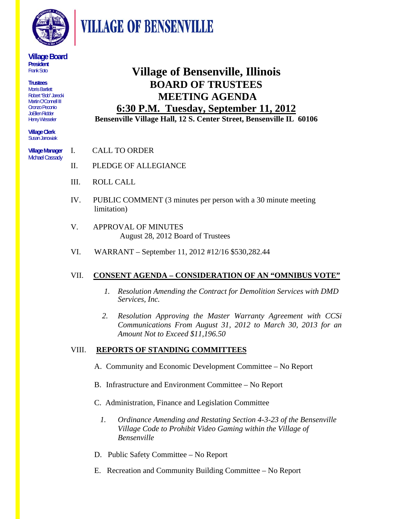

**VILLAGE OF BENSENVILLE** 

#### **Village Board President**  Frank Soto

**Trustees**  Morris Bartlett Robert "Bob" Jarecki Martin O'Connell III Oronzo Peconio JoEllen Ridder Henry Wesseler

**Village Clerk**  Susan Janowiak

**Village Manager**  Michael Cassady

### **Village of Bensenville, Illinois BOARD OF TRUSTEES MEETING AGENDA 6:30 P.M. Tuesday, September 11, 2012**

**Bensenville Village Hall, 12 S. Center Street, Bensenville IL 60106** 

- I. CALL TO ORDER
- II. PLEDGE OF ALLEGIANCE
- III. ROLL CALL
- IV. PUBLIC COMMENT (3 minutes per person with a 30 minute meeting limitation)
- V. APPROVAL OF MINUTES August 28, 2012 Board of Trustees
- VI. WARRANT September 11, 2012 #12/16 \$530,282.44

### VII. **CONSENT AGENDA – CONSIDERATION OF AN "OMNIBUS VOTE"**

- *1. Resolution Amending the Contract for Demolition Services with DMD Services, Inc.*
- *2. Resolution Approving the Master Warranty Agreement with CCSi Communications From August 31, 2012 to March 30, 2013 for an Amount Not to Exceed \$11,196.50*

#### VIII. **REPORTS OF STANDING COMMITTEES**

- A. Community and Economic Development Committee No Report
- B. Infrastructure and Environment Committee No Report
- C. Administration, Finance and Legislation Committee
	- *1. Ordinance Amending and Restating Section 4-3-23 of the Bensenville Village Code to Prohibit Video Gaming within the Village of Bensenville*
- D. Public Safety Committee No Report
- E. Recreation and Community Building Committee No Report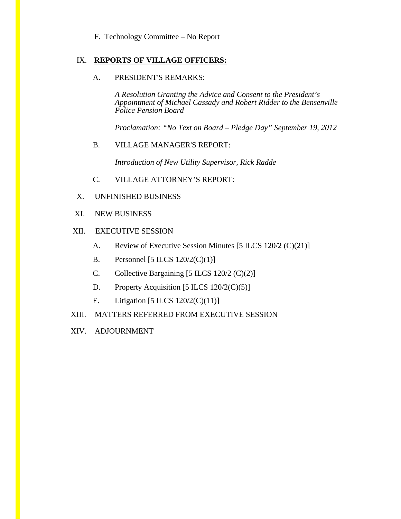#### F. Technology Committee – No Report

#### IX. **REPORTS OF VILLAGE OFFICERS:**

#### A. PRESIDENT'S REMARKS:

*A Resolution Granting the Advice and Consent to the President's Appointment of Michael Cassady and Robert Ridder to the Bensenville Police Pension Board* 

*Proclamation: "No Text on Board – Pledge Day" September 19, 2012* 

#### B. VILLAGE MANAGER'S REPORT:

*Introduction of New Utility Supervisor, Rick Radde* 

- C. VILLAGE ATTORNEY'S REPORT:
- X. UNFINISHED BUSINESS
- XI. NEW BUSINESS

#### XII. EXECUTIVE SESSION

- A. Review of Executive Session Minutes [5 ILCS 120/2 (C)(21)]
- B. Personnel  $[5$  ILCS  $120/2(C)(1)]$
- C. Collective Bargaining  $[5 \text{ ILCS } 120/2 \text{ (C)}(2)]$
- D. Property Acquisition  $[5 \text{ ILCS } 120/2 \text{ (C)}(5)]$
- E. Litigation  $[5$  ILCS  $120/2(C)(11)]$
- XIII. MATTERS REFERRED FROM EXECUTIVE SESSION
- XIV. ADJOURNMENT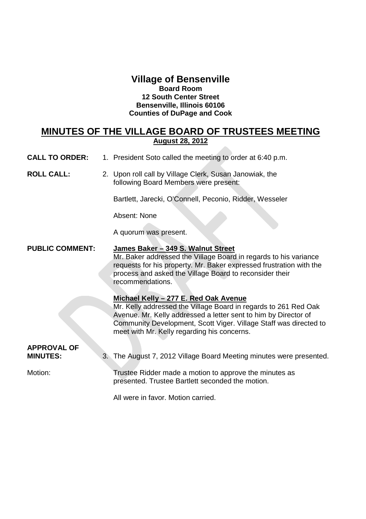#### **Village of Bensenville Board Room 12 South Center Street Bensenville, Illinois 60106 Counties of DuPage and Cook**

### **MINUTES OF THE VILLAGE BOARD OF TRUSTEES MEETING August 28, 2012**

- **CALL TO ORDER:** 1. President Soto called the meeting to order at 6:40 p.m.
- **ROLL CALL:** 2. Upon roll call by Village Clerk, Susan Janowiak, the following Board Members were present:

Bartlett, Jarecki, O'Connell, Peconio, Ridder, Wesseler

Absent: None

A quorum was present.

#### **PUBLIC COMMENT: James Baker – 349 S. Walnut Street**

Mr. Baker addressed the Village Board in regards to his variance requests for his property. Mr. Baker expressed frustration with the process and asked the Village Board to reconsider their recommendations.

#### **Michael Kelly – 277 E. Red Oak Avenue**

Mr. Kelly addressed the Village Board in regards to 261 Red Oak Avenue. Mr. Kelly addressed a letter sent to him by Director of Community Development, Scott Viger. Village Staff was directed to meet with Mr. Kelly regarding his concerns.

# **APPROVAL OF**

**MINUTES:** 3. The August 7, 2012 Village Board Meeting minutes were presented.

Motion: Trustee Ridder made a motion to approve the minutes as presented. Trustee Bartlett seconded the motion.

All were in favor. Motion carried.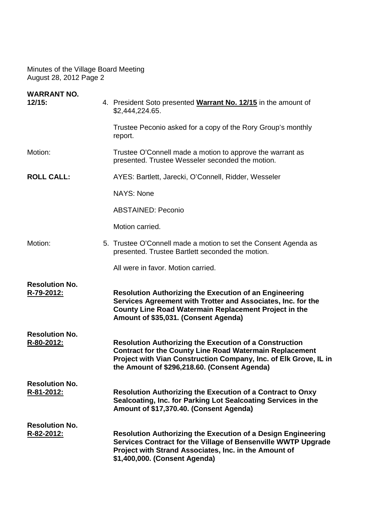| <b>WARRANT NO.</b><br>12/15:        | 4. President Soto presented Warrant No. 12/15 in the amount of<br>\$2,444,224.65.                                                                                                                                                                   |
|-------------------------------------|-----------------------------------------------------------------------------------------------------------------------------------------------------------------------------------------------------------------------------------------------------|
|                                     | Trustee Peconio asked for a copy of the Rory Group's monthly<br>report.                                                                                                                                                                             |
| Motion:                             | Trustee O'Connell made a motion to approve the warrant as<br>presented. Trustee Wesseler seconded the motion.                                                                                                                                       |
| <b>ROLL CALL:</b>                   | AYES: Bartlett, Jarecki, O'Connell, Ridder, Wesseler                                                                                                                                                                                                |
|                                     | <b>NAYS: None</b>                                                                                                                                                                                                                                   |
|                                     | <b>ABSTAINED: Peconio</b>                                                                                                                                                                                                                           |
|                                     | Motion carried.                                                                                                                                                                                                                                     |
| Motion:                             | 5. Trustee O'Connell made a motion to set the Consent Agenda as<br>presented. Trustee Bartlett seconded the motion.                                                                                                                                 |
|                                     | All were in favor. Motion carried.                                                                                                                                                                                                                  |
| <b>Resolution No.</b><br>R-79-2012: | <b>Resolution Authorizing the Execution of an Engineering</b><br>Services Agreement with Trotter and Associates, Inc. for the<br>County Line Road Watermain Replacement Project in the<br>Amount of \$35,031. (Consent Agenda)                      |
| <b>Resolution No.</b><br>R-80-2012: | <b>Resolution Authorizing the Execution of a Construction</b><br><b>Contract for the County Line Road Watermain Replacement</b><br>Project with Vian Construction Company, Inc. of Elk Grove, IL in<br>the Amount of \$296,218.60. (Consent Agenda) |
| <b>Resolution No.</b><br>R-81-2012: | <b>Resolution Authorizing the Execution of a Contract to Onxy</b><br>Sealcoating, Inc. for Parking Lot Sealcoating Services in the<br>Amount of \$17,370.40. (Consent Agenda)                                                                       |
| <b>Resolution No.</b><br>R-82-2012: | <b>Resolution Authorizing the Execution of a Design Engineering</b><br>Services Contract for the Village of Bensenville WWTP Upgrade<br>Project with Strand Associates, Inc. in the Amount of<br>\$1,400,000. (Consent Agenda)                      |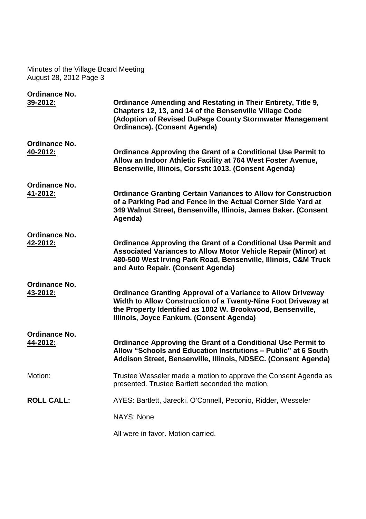| <b>Ordinance No.</b> |                                                                                                                                                                                                                                               |
|----------------------|-----------------------------------------------------------------------------------------------------------------------------------------------------------------------------------------------------------------------------------------------|
| 39-2012:             | <b>Ordinance Amending and Restating in Their Entirety, Title 9,</b><br>Chapters 12, 13, and 14 of the Bensenville Village Code<br>(Adoption of Revised DuPage County Stormwater Management<br><b>Ordinance). (Consent Agenda)</b>             |
| Ordinance No.        |                                                                                                                                                                                                                                               |
| 40-2012:             | <b>Ordinance Approving the Grant of a Conditional Use Permit to</b><br>Allow an Indoor Athletic Facility at 764 West Foster Avenue,<br>Bensenville, Illinois, Corssfit 1013. (Consent Agenda)                                                 |
| <b>Ordinance No.</b> |                                                                                                                                                                                                                                               |
| 41-2012:             | <b>Ordinance Granting Certain Variances to Allow for Construction</b><br>of a Parking Pad and Fence in the Actual Corner Side Yard at<br>349 Walnut Street, Bensenville, Illinois, James Baker. (Consent<br>Agenda)                           |
| <b>Ordinance No.</b> |                                                                                                                                                                                                                                               |
| 42-2012:             | <b>Ordinance Approving the Grant of a Conditional Use Permit and</b><br>Associated Variances to Allow Motor Vehicle Repair (Minor) at<br>480-500 West Irving Park Road, Bensenville, Illinois, C&M Truck<br>and Auto Repair. (Consent Agenda) |
| Ordinance No.        |                                                                                                                                                                                                                                               |
| 43-2012:             | <b>Ordinance Granting Approval of a Variance to Allow Driveway</b><br>Width to Allow Construction of a Twenty-Nine Foot Driveway at<br>the Property Identified as 1002 W. Brookwood, Bensenville,<br>Illinois, Joyce Fankum. (Consent Agenda) |
| Ordinance No.        |                                                                                                                                                                                                                                               |
| 44-2012:             | <b>Ordinance Approving the Grant of a Conditional Use Permit to</b><br>Allow "Schools and Education Institutions - Public" at 6 South<br>Addison Street, Bensenville, Illinois, NDSEC. (Consent Agenda)                                       |
| Motion:              | Trustee Wesseler made a motion to approve the Consent Agenda as<br>presented. Trustee Bartlett seconded the motion.                                                                                                                           |
| <b>ROLL CALL:</b>    | AYES: Bartlett, Jarecki, O'Connell, Peconio, Ridder, Wesseler                                                                                                                                                                                 |
|                      | <b>NAYS: None</b>                                                                                                                                                                                                                             |
|                      | All were in favor. Motion carried.                                                                                                                                                                                                            |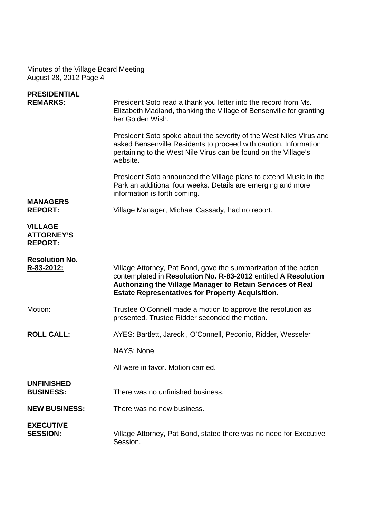| <b>PRESIDENTIAL</b><br><b>REMARKS:</b>                | President Soto read a thank you letter into the record from Ms.<br>Elizabeth Madland, thanking the Village of Bensenville for granting<br>her Golden Wish.                                                                                                  |
|-------------------------------------------------------|-------------------------------------------------------------------------------------------------------------------------------------------------------------------------------------------------------------------------------------------------------------|
|                                                       | President Soto spoke about the severity of the West Niles Virus and<br>asked Bensenville Residents to proceed with caution. Information<br>pertaining to the West Nile Virus can be found on the Village's<br>website.                                      |
| <b>MANAGERS</b>                                       | President Soto announced the Village plans to extend Music in the<br>Park an additional four weeks. Details are emerging and more<br>information is forth coming.                                                                                           |
| <b>REPORT:</b>                                        | Village Manager, Michael Cassady, had no report.                                                                                                                                                                                                            |
| <b>VILLAGE</b><br><b>ATTORNEY'S</b><br><b>REPORT:</b> |                                                                                                                                                                                                                                                             |
| <b>Resolution No.</b><br>R-83-2012:                   | Village Attorney, Pat Bond, gave the summarization of the action<br>contemplated in Resolution No. R-83-2012 entitled A Resolution<br>Authorizing the Village Manager to Retain Services of Real<br><b>Estate Representatives for Property Acquisition.</b> |
| Motion:                                               | Trustee O'Connell made a motion to approve the resolution as<br>presented. Trustee Ridder seconded the motion.                                                                                                                                              |
| <b>ROLL CALL:</b>                                     | AYES: Bartlett, Jarecki, O'Connell, Peconio, Ridder, Wesseler                                                                                                                                                                                               |
|                                                       | <b>NAYS: None</b>                                                                                                                                                                                                                                           |
|                                                       | All were in favor. Motion carried.                                                                                                                                                                                                                          |
| <b>UNFINISHED</b><br><b>BUSINESS:</b>                 | There was no unfinished business.                                                                                                                                                                                                                           |
| <b>NEW BUSINESS:</b>                                  | There was no new business.                                                                                                                                                                                                                                  |
| <b>EXECUTIVE</b><br><b>SESSION:</b>                   | Village Attorney, Pat Bond, stated there was no need for Executive<br>Session.                                                                                                                                                                              |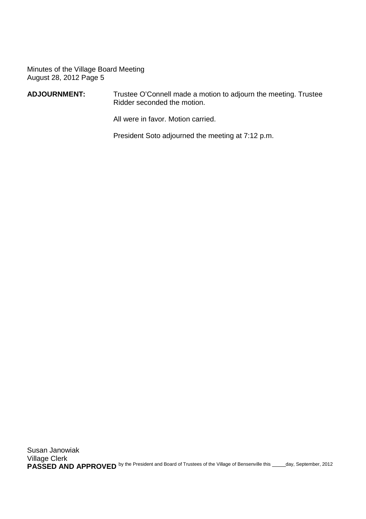#### **ADJOURNMENT:** Trustee O'Connell made a motion to adjourn the meeting. Trustee Ridder seconded the motion.

All were in favor. Motion carried.

President Soto adjourned the meeting at 7:12 p.m.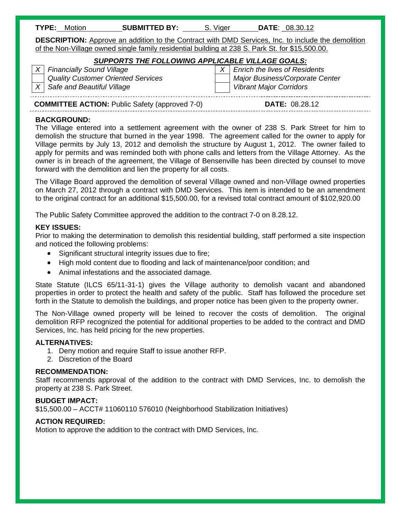| TYPE: | Motion | <b>SUBMITTED BY:</b> | Viger | <b>DATE: 08.30.12</b> |
|-------|--------|----------------------|-------|-----------------------|
|-------|--------|----------------------|-------|-----------------------|

**DESCRIPTION:** Approve an addition to the Contract with DMD Services, Inc. to include the demolition of the Non-Village owned single family residential building at 238 S. Park St. for \$15,500.00.

#### *SUPPORTS THE FOLLOWING APPLICABLE VILLAGE GOALS:*

*X* Safe and Beautiful Village View Vibrant Major Corridors **Vibrant Major Corridors** 

*X* Financially Sound Village X X Enrich the lives of Residents  *Quality Customer Oriented Services Major Business/Corporate Center*  

### **COMMITTEE ACTION:** Public Safety (approved 7-0) **DATE: 08.28.12**

#### **BACKGROUND:**

The Village entered into a settlement agreement with the owner of 238 S. Park Street for him to demolish the structure that burned in the year 1998. The agreement called for the owner to apply for Village permits by July 13, 2012 and demolish the structure by August 1, 2012. The owner failed to apply for permits and was reminded both with phone calls and letters from the Village Attorney. As the owner is in breach of the agreement, the Village of Bensenville has been directed by counsel to move forward with the demolition and lien the property for all costs.

The Village Board approved the demolition of several Village owned and non-Village owned properties on March 27, 2012 through a contract with DMD Services. This item is intended to be an amendment to the original contract for an additional \$15,500.00, for a revised total contract amount of \$102,920.00

The Public Safety Committee approved the addition to the contract 7-0 on 8.28.12.

#### **KEY ISSUES:**

Prior to making the determination to demolish this residential building, staff performed a site inspection and noticed the following problems:

- Significant structural integrity issues due to fire;
- High mold content due to flooding and lack of maintenance/poor condition; and
- Animal infestations and the associated damage.

State Statute (ILCS 65/11-31-1) gives the Village authority to demolish vacant and abandoned properties in order to protect the health and safety of the public. Staff has followed the procedure set forth in the Statute to demolish the buildings, and proper notice has been given to the property owner.

The Non-Village owned property will be leined to recover the costs of demolition. The original demolition RFP recognized the potential for additional properties to be added to the contract and DMD Services, Inc. has held pricing for the new properties.

#### **ALTERNATIVES:**

- 1. Deny motion and require Staff to issue another RFP.
- 2. Discretion of the Board

#### **RECOMMENDATION:**

Staff recommends approval of the addition to the contract with DMD Services, Inc. to demolish the property at 238 S. Park Street.

#### **BUDGET IMPACT:**

\$15,500.00 – ACCT# 11060110 576010 (Neighborhood Stabilization Initiatives)

#### **ACTION REQUIRED:**

Motion to approve the addition to the contract with DMD Services, Inc.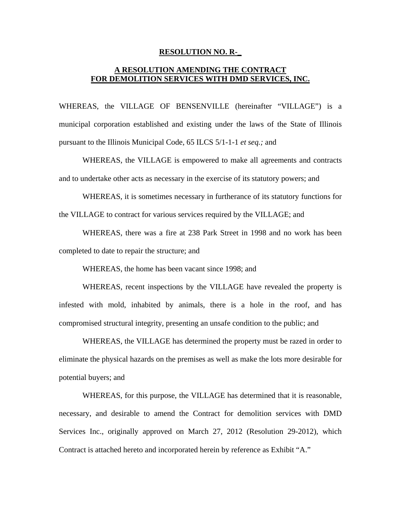#### **RESOLUTION NO. R-\_**

#### **A RESOLUTION AMENDING THE CONTRACT FOR DEMOLITION SERVICES WITH DMD SERVICES, INC.**

WHEREAS, the VILLAGE OF BENSENVILLE (hereinafter "VILLAGE") is a municipal corporation established and existing under the laws of the State of Illinois pursuant to the Illinois Municipal Code, 65 ILCS 5/1-1-1 *et seq.;* and

 WHEREAS, the VILLAGE is empowered to make all agreements and contracts and to undertake other acts as necessary in the exercise of its statutory powers; and

 WHEREAS, it is sometimes necessary in furtherance of its statutory functions for the VILLAGE to contract for various services required by the VILLAGE; and

 WHEREAS, there was a fire at 238 Park Street in 1998 and no work has been completed to date to repair the structure; and

WHEREAS, the home has been vacant since 1998; and

 WHEREAS, recent inspections by the VILLAGE have revealed the property is infested with mold, inhabited by animals, there is a hole in the roof, and has compromised structural integrity, presenting an unsafe condition to the public; and

 WHEREAS, the VILLAGE has determined the property must be razed in order to eliminate the physical hazards on the premises as well as make the lots more desirable for potential buyers; and

 WHEREAS, for this purpose, the VILLAGE has determined that it is reasonable, necessary, and desirable to amend the Contract for demolition services with DMD Services Inc., originally approved on March 27, 2012 (Resolution 29-2012), which Contract is attached hereto and incorporated herein by reference as Exhibit "A."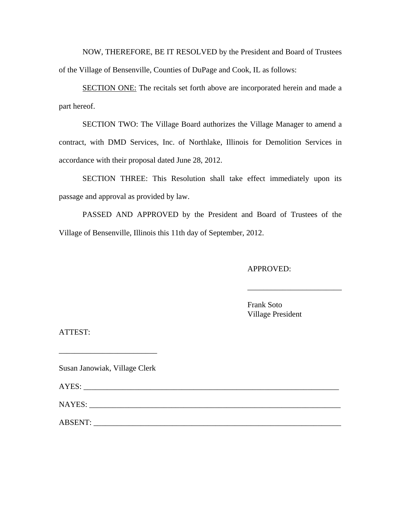NOW, THEREFORE, BE IT RESOLVED by the President and Board of Trustees of the Village of Bensenville, Counties of DuPage and Cook, IL as follows:

SECTION ONE: The recitals set forth above are incorporated herein and made a part hereof.

SECTION TWO: The Village Board authorizes the Village Manager to amend a contract, with DMD Services, Inc. of Northlake, Illinois for Demolition Services in accordance with their proposal dated June 28, 2012.

SECTION THREE: This Resolution shall take effect immediately upon its passage and approval as provided by law.

PASSED AND APPROVED by the President and Board of Trustees of the Village of Bensenville, Illinois this 11th day of September, 2012.

APPROVED:

Frank Soto Village President

\_\_\_\_\_\_\_\_\_\_\_\_\_\_\_\_\_\_\_\_\_\_\_\_

ATTEST:

Susan Janowiak, Village Clerk

\_\_\_\_\_\_\_\_\_\_\_\_\_\_\_\_\_\_\_\_\_\_\_\_\_

AYES:

NAYES:

ABSENT: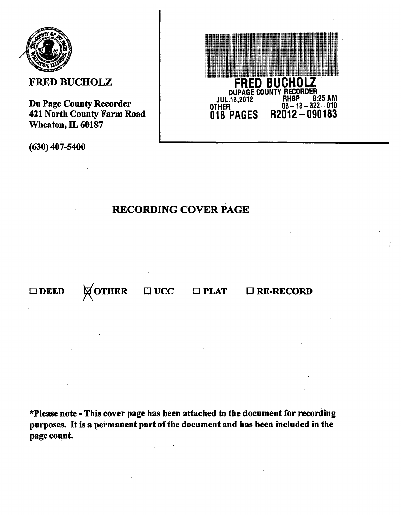

### **FRED BUCHOLZ**

Du Page County Recorder 421 North County Farm Road Wheaton, IL 60187

 $(630)$  407-5400

# **FRED BUCHOLZ**<br>DUPAGE COUNTY RECORDER 9:25 AM **RHSP JUL.13.2012**  $\frac{63-18-322-010}{n2012-090183}$ OTHER 018 PAGES

### **RECORDING COVER PAGE**

**NOTHER**  $\square$  UCC  $\Box$  PLAT  $\square$  RE-RECORD  $\square$  DEED

\*Please note - This cover page has been attached to the document for recording purposes. It is a permanent part of the document and has been included in the page count.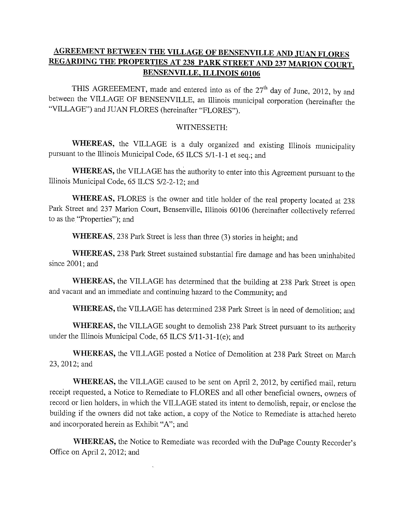### **AGREEMENT BETWEEN THE VILLAGE OF BENSENVILLE AND JUAN FLORES** REGARDING THE PROPERTIES AT 238 PARK STREET AND 237 MARION COURT, **BENSENVILLE, ILLINOIS 60106**

THIS AGREEEMENT, made and entered into as of the 27<sup>th</sup> day of June, 2012, by and between the VILLAGE OF BENSENVILLE, an Illinois municipal corporation (hereinafter the "VILLAGE") and JUAN FLORES (hereinafter "FLORES").

#### WITNESSETH:

WHEREAS, the VILLAGE is a duly organized and existing Illinois municipality pursuant to the Illinois Municipal Code, 65 ILCS 5/1-1-1 et seq.; and

WHEREAS, the VILLAGE has the authority to enter into this Agreement pursuant to the Illinois Municipal Code, 65 ILCS 5/2-2-12; and

WHEREAS, FLORES is the owner and title holder of the real property located at 238 Park Street and 237 Marion Court, Bensenville, Illinois 60106 (hereinafter collectively referred to as the "Properties"); and

WHEREAS, 238 Park Street is less than three (3) stories in height; and

WHEREAS, 238 Park Street sustained substantial fire damage and has been uninhabited since 2001; and

WHEREAS, the VILLAGE has determined that the building at 238 Park Street is open and vacant and an immediate and continuing hazard to the Community; and

WHEREAS, the VILLAGE has determined 238 Park Street is in need of demolition; and

WHEREAS, the VILLAGE sought to demolish 238 Park Street pursuant to its authority under the Illinois Municipal Code, 65 ILCS 5/11-31-1(e); and

WHEREAS, the VILLAGE posted a Notice of Demolition at 238 Park Street on March 23, 2012; and

WHEREAS, the VILLAGE caused to be sent on April 2, 2012, by certified mail, return receipt requested, a Notice to Remediate to FLORES and all other beneficial owners, owners of record or lien holders, in which the VILLAGE stated its intent to demolish, repair, or enclose the building if the owners did not take action, a copy of the Notice to Remediate is attached hereto and incorporated herein as Exhibit "A"; and

**WHEREAS,** the Notice to Remediate was recorded with the DuPage County Recorder's Office on April 2, 2012; and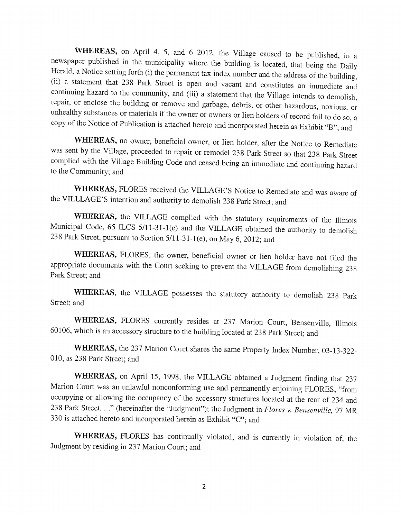WHEREAS, on April 4, 5, and 6 2012, the Village caused to be published, in a newspaper published in the municipality where the building is located, that being the Daily Herald, a Notice setting forth (i) the permanent tax index number and the address of the building, (ii) a statement that 238 Park Street is open and vacant and constitutes an immediate and continuing hazard to the community, and (iii) a statement that the Village intends to demolish, repair, or enclose the building or remove and garbage, debris, or other hazardous, noxious, or unhealthy substances or materials if the owner or owners or lien holders of record fail to do so, a copy of the Notice of Publication is attached hereto and incorporated herein as Exhibit "B"; and

WHEREAS, no owner, beneficial owner, or lien holder, after the Notice to Remediate was sent by the Village, proceeded to repair or remodel 238 Park Street so that 238 Park Street complied with the Village Building Code and ceased being an immediate and continuing hazard to the Community; and

WHEREAS, FLORES received the VILLAGE'S Notice to Remediate and was aware of the VILLLAGE'S intention and authority to demolish 238 Park Street; and

WHEREAS, the VILLAGE complied with the statutory requirements of the Illinois Municipal Code, 65 ILCS 5/11-31-1(e) and the VILLAGE obtained the authority to demolish 238 Park Street, pursuant to Section 5/11-31-1(e), on May 6, 2012; and

WHEREAS, FLORES, the owner, beneficial owner or lien holder have not filed the appropriate documents with the Court seeking to prevent the VILLAGE from demolishing 238 Park Street; and

WHEREAS, the VILLAGE possesses the statutory authority to demolish 238 Park Street; and

WHEREAS, FLORES currently resides at 237 Marion Court, Bensenville, Illinois 60106, which is an accessory structure to the building located at 238 Park Street; and

WHEREAS, the 237 Marion Court shares the same Property Index Number, 03-13-322-010, as 238 Park Street; and

WHEREAS, on April 15, 1998, the VILLAGE obtained a Judgment finding that 237 Marion Court was an unlawful nonconforming use and permanently enjoining FLORES, "from occupying or allowing the occupancy of the accessory structures located at the rear of 234 and 238 Park Street. . ." (hereinafter the "Judgment"); the Judgment in Flores v. Bensenville, 97 MR 330 is attached hereto and incorporated herein as Exhibit "C"; and

WHEREAS, FLORES has continually violated, and is currently in violation of, the Judgment by residing in 237 Marion Court; and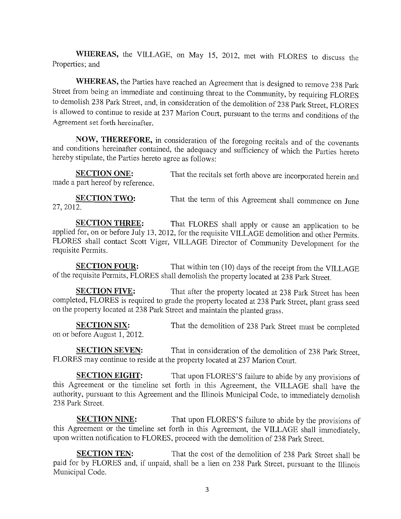WHEREAS, the VILLAGE, on May 15, 2012, met with FLORES to discuss the Properties; and

WHEREAS, the Parties have reached an Agreement that is designed to remove 238 Park Street from being an immediate and continuing threat to the Community, by requiring FLORES to demolish 238 Park Street, and, in consideration of the demolition of 238 Park Street, FLORES is allowed to continue to reside at 237 Marion Court, pursuant to the terms and conditions of the Agreement set forth hereinafter.

NOW, THEREFORE, in consideration of the foregoing recitals and of the covenants and conditions hereinafter contained, the adequacy and sufficiency of which the Parties hereto hereby stipulate, the Parties hereto agree as follows:

That the recitals set forth above are incorporated herein and **SECTION ONE:** made a part hereof by reference.

**SECTION TWO:** That the term of this Agreement shall commence on June 27, 2012.

That FLORES shall apply or cause an application to be **SECTION THREE:** applied for, on or before July 13, 2012, for the requisite VILLAGE demolition and other Permits. FLORES shall contact Scott Viger, VILLAGE Director of Community Development for the requisite Permits.

That within ten (10) days of the receipt from the VILLAGE **SECTION FOUR:** of the requisite Permits, FLORES shall demolish the property located at 238 Park Street.

That after the property located at 238 Park Street has been **SECTION FIVE:** completed, FLORES is required to grade the property located at 238 Park Street, plant grass seed on the property located at 238 Park Street and maintain the planted grass.

**SECTION SIX:** That the demolition of 238 Park Street must be completed on or before August 1, 2012.

That in consideration of the demolition of 238 Park Street, **SECTION SEVEN:** FLORES may continue to reside at the property located at 237 Marion Court.

That upon FLORES'S failure to abide by any provisions of **SECTION EIGHT:** this Agreement or the timeline set forth in this Agreement, the VILLAGE shall have the authority, pursuant to this Agreement and the Illinois Municipal Code, to immediately demolish 238 Park Street.

That upon FLORES'S failure to abide by the provisions of **SECTION NINE:** this Agreement or the timeline set forth in this Agreement, the VILLAGE shall immediately, upon written notification to FLORES, proceed with the demolition of 238 Park Street.

**SECTION TEN:** That the cost of the demolition of 238 Park Street shall be paid for by FLORES and, if unpaid, shall be a lien on 238 Park Street, pursuant to the Illinois Municipal Code.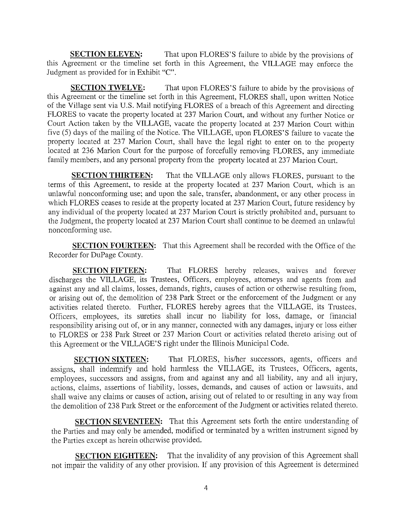**SECTION ELEVEN:** That upon FLORES'S failure to abide by the provisions of this Agreement or the timeline set forth in this Agreement, the VILLAGE may enforce the Judgment as provided for in Exhibit "C".

**SECTION TWELVE:** That upon FLORES'S failure to abide by the provisions of this Agreement or the timeline set forth in this Agreement, FLORES shall, upon written Notice of the Village sent via U.S. Mail notifying FLORES of a breach of this Agreement and directing FLORES to vacate the property located at 237 Marion Court, and without any further Notice or Court Action taken by the VILLAGE, vacate the property located at 237 Marion Court within five (5) days of the mailing of the Notice. The VILLAGE, upon FLORES'S failure to vacate the property located at 237 Marion Court, shall have the legal right to enter on to the property located at 236 Marion Court for the purpose of forcefully removing FLORES, any immediate family members, and any personal property from the property located at 237 Marion Court.

**SECTION THIRTEEN:** That the VILLAGE only allows FLORES, pursuant to the terms of this Agreement, to reside at the property located at 237 Marion Court, which is an unlawful nonconforming use; and upon the sale, transfer, abandonment, or any other process in which FLORES ceases to reside at the property located at 237 Marion Court, future residency by any individual of the property located at 237 Marion Court is strictly prohibited and, pursuant to the Judgment, the property located at 237 Marion Court shall continue to be deemed an unlawful nonconforming use.

**SECTION FOURTEEN:** That this Agreement shall be recorded with the Office of the Recorder for DuPage County.

That FLORES hereby releases, waives and forever **SECTION FIFTEEN:** discharges the VILLAGE, its Trustees, Officers, employees, attorneys and agents from and against any and all claims, losses, demands, rights, causes of action or otherwise resulting from, or arising out of, the demolition of 238 Park Street or the enforcement of the Judgment or any activities related thereto. Further, FLORES hereby agrees that the VILLAGE, its Trustees, Officers, employees, its sureties shall incur no liability for loss, damage, or financial responsibility arising out of, or in any manner, connected with any damages, injury or loss either to FLORES or 238 Park Street or 237 Marion Court or activities related thereto arising out of this Agreement or the VILLAGE'S right under the Illinois Municipal Code.

That FLORES, his/her successors, agents, officers and **SECTION SIXTEEN:** assigns, shall indemnify and hold harmless the VILLAGE, its Trustees, Officers, agents, employees, successors and assigns, from and against any and all liability, any and all injury, actions, claims, assertions of liability, losses, demands, and causes of action or lawsuits, and shall waive any claims or causes of action, arising out of related to or resulting in any way from the demolition of 238 Park Street or the enforcement of the Judgment or activities related thereto.

**SECTION SEVENTEEN:** That this Agreement sets forth the entire understanding of the Parties and may only be amended, modified or terminated by a written instrument signed by the Parties except as herein otherwise provided.

That the invalidity of any provision of this Agreement shall **SECTION EIGHTEEN:** not impair the validity of any other provision. If any provision of this Agreement is determined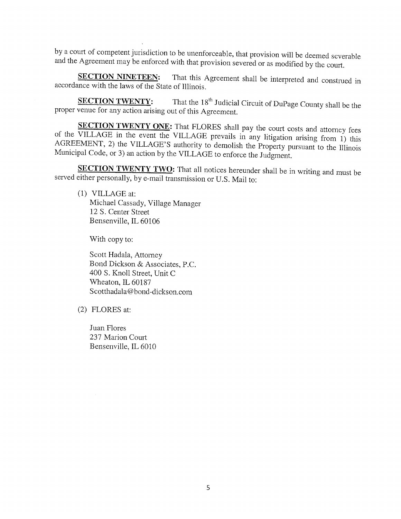by a court of competent jurisdiction to be unenforceable, that provision will be deemed severable and the Agreement may be enforced with that provision severed or as modified by the court.

**SECTION NINETEEN:** That this Agreement shall be interpreted and construed in accordance with the laws of the State of Illinois.

That the 18<sup>th</sup> Judicial Circuit of DuPage County shall be the **SECTION TWENTY:** proper venue for any action arising out of this Agreement.

SECTION TWENTY ONE: That FLORES shall pay the court costs and attorney fees of the VILLAGE in the event the VILLAGE prevails in any litigation arising from 1) this AGREEMENT, 2) the VILLAGE'S authority to demolish the Property pursuant to the Illinois Municipal Code, or 3) an action by the VILLAGE to enforce the Judgment.

SECTION TWENTY TWO: That all notices hereunder shall be in writing and must be served either personally, by e-mail transmission or U.S. Mail to:

(1) VILLAGE at: Michael Cassady, Village Manager 12 S. Center Street Bensenville, IL 60106

With copy to:

Scott Hadala, Attorney Bond Dickson & Associates, P.C. 400 S. Knoll Street, Unit C Wheaton, IL 60187 Scotthadala@bond-dickson.com

(2) FLORES at:

Juan Flores 237 Marion Court Bensenville, IL 6010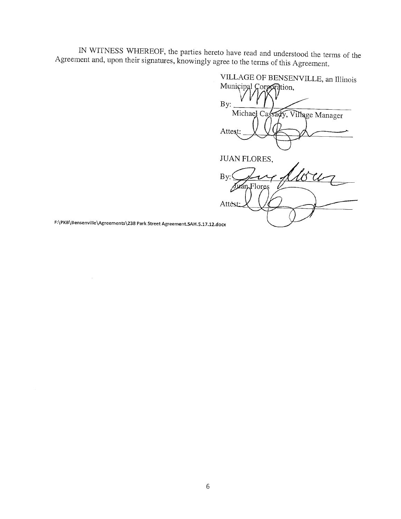IN WITNESS WHEREOF, the parties hereto have read and understood the terms of the Agreement and, upon their signatures, knowingly agree to the terms of this Agreement.

VILLAGE OF BENSENVILLE, an Illinois Municipal Gorpordtion, By: Michael Cassady, Village Manager Attest: **JUAN FLORES,**  $\&\iota$ By: n Flores Atte

F:\PKB\Bensenville\Agreements\238 Park Street Agreement.SAH.5.17.12.docx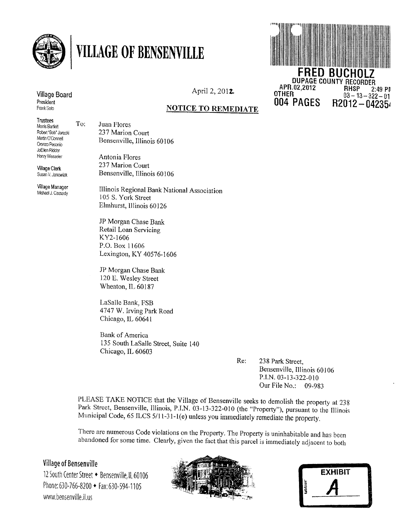

# **VILLAGE OF BENSENVILLE**



#### April 2, 2012

#### **NOTICE TO REMEDIATE**

**Trustees** Monis Bartiett Robert "Bob" Jarecki Martin O'Connell Oronzo Peconio JoEilen Ridder Henry Wesseler

To:

Village Board

President Frank Soto

**Village Clerk** Susan V. Janowiak

Village Manager Michael J. Cassady

Juan Flores 237 Marion Court Bensenville, Illinois 60106

Antonia Flores 237 Marion Court Bensenville, Illinois 60106

Illinois Regional Bank National Association 105 S. York Street Elmhurst, Illinois 60126

JP Morgan Chase Bank Retail Loan Servicing KY2-1606 P.O. Box 11606 Lexington, KY 40576-1606

JP Morgan Chase Bank 120 E. Wesley Street Wheaton, IL 60187

LaSalle Bank, FSB 4747 W. Irving Park Road Chicago, IL 60641

Bank of America 135 South LaSalle Street, Suite 140 Chicago, IL 60603

> Re: 238 Park Street. Bensenville, Illinois 60106 P.I.N. 03-13-322-010 Our File No.: 09-983

PLEASE TAKE NOTICE that the Village of Bensenville seeks to demolish the property at 238 Park Street, Bensenville, Illinois, P.I.N. 03-13-322-010 (the "Property"), pursuant to the Illinois Municipal Code, 65 ILCS 5/11-31-1(e) unless you immediately remediate the property.

There are numerous Code violations on the Property. The Property is uninhabitable and has been abandoned for some time. Clearly, given the fact that this parcel is immediately adjacent to both

#### **Village of Bensenville**

12 South Center Street • Bensenville, IL 60106 Phone: 630-766-8200 • Fax: 630-594-1105 www.bensenville.il.us



|         | <b>EXHIBIT</b> |  |
|---------|----------------|--|
| tabbles |                |  |
|         |                |  |
|         |                |  |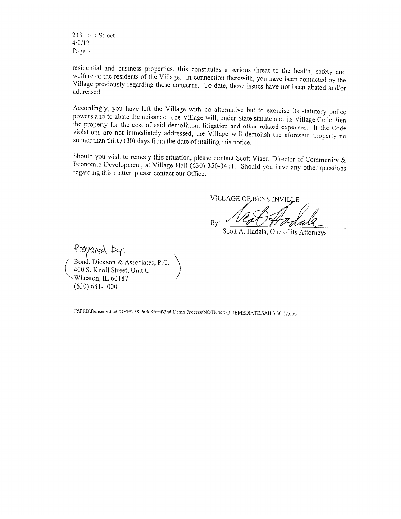238 Park Street  $4/2/12$ Page 2

residential and business properties, this constitutes a serious threat to the health, safety and welfare of the residents of the Village. In connection therewith, you have been contacted by the Village previously regarding these concerns. To date, those issues have not been abated and/or addressed.

Accordingly, you have left the Village with no alternative but to exercise its statutory police powers and to abate the nuisance. The Village will, under State statute and its Village Code, lien the property for the cost of said demolition, litigation and other related expenses. If the Code violations are not immediately addressed, the Village will demolish the aforesaid property no sooner than thirty (30) days from the date of mailing this notice.

Should you wish to remedy this situation, please contact Scott Viger, Director of Community & Economic Development, at Village Hall (630) 350-3411. Should you have any other questions regarding this matter, please contact our Office.

VILLAGE OF BENSENVILLE By:

Scott A. Hadala, One of its Attorneys

Prepared by: Bond, Dickson & Associates, P.C 400 S. Knoll Street, Unit C Wheaton, IL 60187  $(630) 681 - 1000$ 

F:\PKB\Bensenville\COVE\238 Park Street\2nd Demo Process\NOTICE TO REMEDIATE.SAH.3.30.12.doc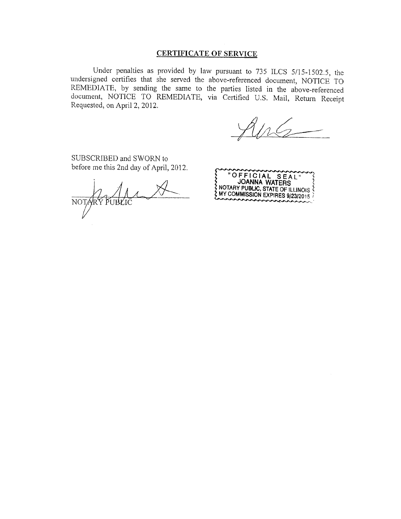#### **CERTIFICATE OF SERVICE**

Under penalties as provided by law pursuant to 735 ILCS 5/15-1502.5, the undersigned certifies that she served the above-referenced document, NOTICE TO REMEDIATE, by sending the same to the parties listed in the above-referenced document, NOTICE TO REMEDIATE, via Certified U.S. Mail, Return Receipt Requested, on April 2, 2012.

SUBSCRIBED and SWORN to before me this 2nd day of April, 2012.

NOTARY PUBLIC

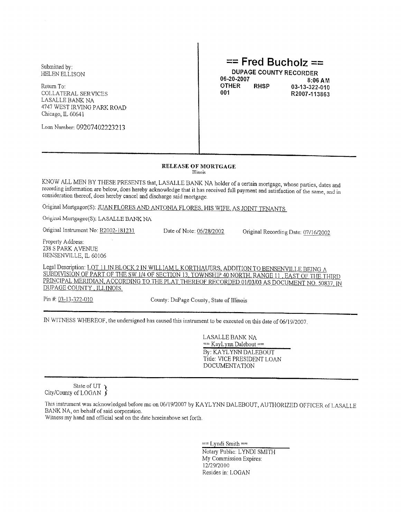Submitted by: **HELEN ELLISON** 

Return To: **COLLATERAL SERVICES** LASALLE BANK NA 4747 WEST IRVING PARK ROAD Chicago, IL 60641

Loan Number: 09207402223213

### $==$  Fred Bucholz ==

**DUPAGE COUNTY RECORDER** 06-20-2007 **OTHER RHSP** 001

8:06 AM 03-13-322-010 R2007-113863

#### **RELEASE OF MORTGAGE**

Illinois

KNOW ALL MEN BY THESE PRESENTS that, LASALLE BANK NA holder of a certain mortgage, whose parties, dates and recording information are below, does hereby acknowledge that it has received full payment and satisfaction of the same, and in consideration thereof, does hereby cancel and discharge said mortgage.

Original Mortgagor(S): JUAN FLORES AND ANTONIA FLORES, HIS WIFE, AS JOINT TENANTS

Original Mortgagee(S): LASALLE BANK NA

Original Instrument No: R2002-181231

Date of Note: 06/28/2002

Original Recording Date: 07/16/2002

Property Address: 238 S PARK AVENUE BENSENVILLE, IL 60106

Legal Description: LOT 11 IN BLOCK 2 IN WILLIAM L KORTHAUERS, ADDITION TO BENSENVILLE BEING A SUBDIVISION OF PART OF THE SW 1/4 OF SECTION 13, TOWNSHIP 40 NORTH, RANGE 11, EAST OF THE THIRD PRINCIPAL MERIDIAN, ACCORDING TO THE PLAT THEREOF RECORDED 01/03/03 AS DOCUMENT NO. 50837. IN DUPAGE COUNTY, ILLINOIS.

Pin #: 03-13-322-010

County: DuPage County, State of Illinois

IN WITNESS WHEREOF, the undersigned has caused this instrument to be executed on this date of 06/19/2007.

**LASALLE BANK NA**  $==$  KayLynn Dalebout  $==$ By: KAYLYNN DALEBOUT Title: VICE PRESIDENT LOAN **DOCUMENTATION** 

State of UT  $\lambda$ City/County of LOGAN  $\int$ 

This instrument was acknowledged before mc on 06/19/2007 by KAYLYNN DALEBOUT, AUTHORIZED OFFICER of LASALLE BANK NA, on behalf of said corporation.

Witness my hand and official seal on the date hereinabove set forth.

 $==$  Lyndi Smith  $==$ Notary Public: LYNDI SMITH My Commission Expires: 12/29/2010 Resides in: LOGAN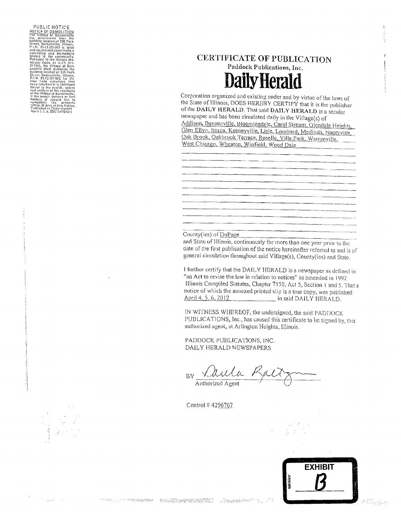PUBLIC NOTICE PUBLIC NOTICE THE VIRGE OF MANUSCRIPT THE VIRGE OF BEAM THE VIRGE OF BEAM TO BE SHOW THAT SHOW ON THE SHOW ON THE SHOW ON THE CONTINUES ON THE CONTINUES OF THE CONTINUES OF THE SHOW CONTINUES OF THE SHOW ON THE SHOW ON TH P.1. N. 03-13-327-010, for Vilney Code violotions That<br>time Code violotions That<br>three castled its a confluid<br>thread in the linear of the resident<br>of the Millage of Bersenville,<br>and welfare of the resident<br>to he women of

**Services** (1998)

### **CERTIFICATE OF PUBLICATION**

Paddock Publications, Inc. **Daily Herald** 

Corporation organized and existing under and by virtue of the laws of the State of Illinois, DOES HEREBY CERTIFY that it is the publisher of the DAILY HERALD. That said DAILY HERALD is a secular newspaper and has been circulated daily in the Village(s) of Addison, Bensenville, Bloomingdale, Carol Stream, Glendale Heights, Glen Ellyn, Itasca, Keeneyville, Lisle, Lombard, Medinah, Naperville, Oak Brook, Oakbrook Terrace, Roselle, Villa Park, Warrenville, West Chicago, Wheaton, Winfield, Wood Dale

<u> 1990 - Jan Barbara a</u>

#### County(ies) of DuPage

and State of Illinois, continuously for more than one year prior to the date of the first publication of the notice hereinafter referred to and is of general circulation throughout said Village(s), County(ies) and State.

I further certify that the DAILY HERALD is a newspaper as defined in "an Act to revise the law in relation to notices" as amended in 1992 Illinois Compiled Statutes, Chapter 7150, Act 5, Section 1 and 5. That a notice of which the annexed printed slip is a true copy, was published April 4, 5, 6, 2012 in said DAILY HERALD.

IN WITNESS WHEREOF, the undersigned, the said PADDOCK PUBLICATIONS, Inc., has caused this certificate to be signed by, this authorized agent, at Arlington Heights, Illinois.

PADDOCK PUBLICATIONS, INC. DAILY HERALD NEWSPAPERS

Laula P BY Authorized Agent

Control #4296767

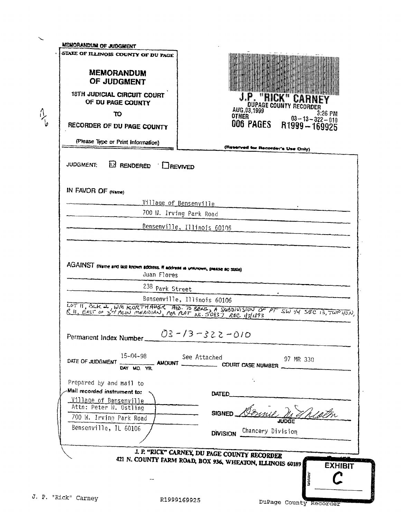| <b>MEMORANDUM</b><br>OF JUDGMENT<br>18TH JUDICIAL CIRCUIT COURT<br>OF DU PAGE COUNTY<br>το<br>RECORDER OF DU PAGE COUNTY<br>(Please Type or Print Information) | <b>J.P. "RICK" CARNE</b><br>AUG.03,1999 - 3:26 PM<br>OTHER 03-13-322-010<br>006 PAGES R1999 - 169925                        |
|----------------------------------------------------------------------------------------------------------------------------------------------------------------|-----------------------------------------------------------------------------------------------------------------------------|
| <b>JUDGMENT</b><br><b>EX RENDERED</b> DREVIVED                                                                                                                 | (Reserved for Recorder's Use Only)                                                                                          |
| IN FAVOR OF (Name)                                                                                                                                             |                                                                                                                             |
|                                                                                                                                                                | <u>Village of Bensenville</u><br>700 N. Irving Park Road                                                                    |
|                                                                                                                                                                | Bensenville, Illinois 60106                                                                                                 |
|                                                                                                                                                                |                                                                                                                             |
| Juan Flores                                                                                                                                                    | AGAINST (Name and last known address. If address is unknown, please so state)                                               |
| 238 Park Street                                                                                                                                                |                                                                                                                             |
|                                                                                                                                                                | Bensenville, Illinois 60106                                                                                                 |
|                                                                                                                                                                |                                                                                                                             |
|                                                                                                                                                                | $03 - 13 - 322 - 010$                                                                                                       |
| Permanent Index Number_<br>$15 - 04 - 98$<br>DATE OF JUDGMENT<br>DAY MO. YR.                                                                                   | See Attached<br>97 MR 330<br>AMOUNT                                                                                         |
| Prepared by and mail to                                                                                                                                        |                                                                                                                             |
| Mail recorded instrument to:<br><u>Village of Bensenville</u>                                                                                                  | LOT II, BLK 2, WM KORTHAUSK AD. TO BENS, A SUBDIVISION OF PT SW 14 SEC 13, TWP 40N,<br>DATED.                               |
| Attn: Peter W. Ostling                                                                                                                                         | $B$ usil $B$<br>SIGNED                                                                                                      |
| 700 W. Irving Park Road                                                                                                                                        | Theath                                                                                                                      |
| Bensenville, IL 60106                                                                                                                                          | DIVISION Chancery Division                                                                                                  |
|                                                                                                                                                                |                                                                                                                             |
|                                                                                                                                                                | I. P. "RICK" CARNEY, DU PAGE COUNTY RECORDER<br>421 N. COUNTY FARM ROAD, BOX 936, WHEATON, ILLINOIS 60189<br><b>EXHIBIT</b> |

**SANDRA CALLED**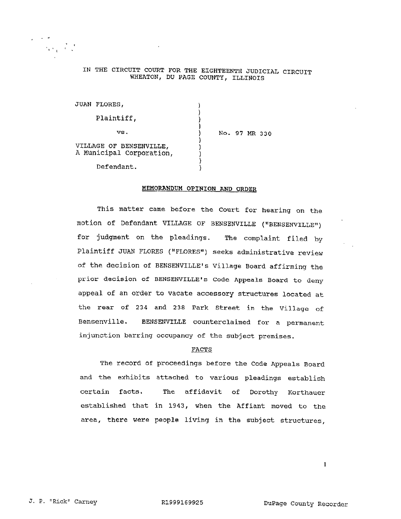#### IN THE CIRCUIT COURT FOR THE EIGHTEENTH JUDICIAL CIRCUIT WHEATON, DU PAGE COUNTY, ILLINOIS

| JUAN FLORES,                                        |  |  |               |  |
|-----------------------------------------------------|--|--|---------------|--|
| Plaintiff,                                          |  |  |               |  |
| vs.                                                 |  |  | No. 97 MR 330 |  |
| VILLAGE OF BENSENVILLE,<br>A Municipal Corporation, |  |  |               |  |
| Defendant.                                          |  |  |               |  |

#### MEMORANDUM OPINION AND ORDER

This matter came before the Court for hearing on the motion of Defendant VILLAGE OF BENSENVILLE ("BENSENVILLE") for judgment on the pleadings. The complaint filed by Plaintiff JUAN FLORES ("FLORES") seeks administrative review of the decision of BENSENVILLE's Village Board affirming the prior decision of BENSENVILLE's Code Appeals Board to deny appeal of an order to vacate accessory structures located at the rear of 234 and 238 Park Street in the Village of Bensenville. BENSENVILLE counterclaimed for a permanent injunction barring occupancy of the subject premises.

#### FACTS

The record of proceedings before the Code Appeals Board and the exhibits attached to various pleadings establish The affidavit of Dorothy Korthauer certain facts. established that in 1943, when the Affiant moved to the area, there were people living in the subject structures,

 $\mathbf{I}$ 

 $\beta_{\rm{eff}}=\frac{2}{C_{\rm{eff}}}$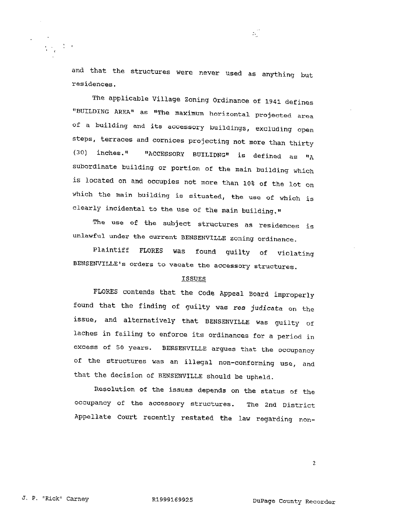and that the structures were never used as anything but residences.

 $\mathcal{H}_{\mathcal{A}}$ 

The applicable Village Zoning Ordinance of 1941 defines "BUILDING AREA" as "The maximum horizontal projected area of a building and its accessory buildings, excluding open steps, terraces and cornices projecting not more than thirty "ACCESSORY BUILIDNG" is defined as "A  $(30)$  inches.<sup> $\Pi$ </sup> subordinate building or portion of the main building which is located on and occupies not more than 10% of the lot on which the main building is situated, the use of which is clearly incidental to the use of the main building."

The use of the subject structures as residences is unlawful under the current BENSENVILLE zoning ordinance.

Plaintiff FLORES **WAS** found guilty of violating BENSENVILLE's orders to vacate the accessory structures.

#### **ISSUES**

FLORES contends that the Code Appeal Board improperly found that the finding of guilty was res judicata on the issue, and alternatively that BENSENVILLE was guilty of laches in failing to enforce its ordinances for a period in excess of 50 years. BENSENVILLE argues that the occupancy of the structures was an illegal non-conforming use, and that the decision of BENSENVILLE should be upheld.

Resolution of the issues depends on the status of the occupancy of the accessory structures. The 2nd District Appellate Court recently restated the law regarding non-

 $\overline{c}$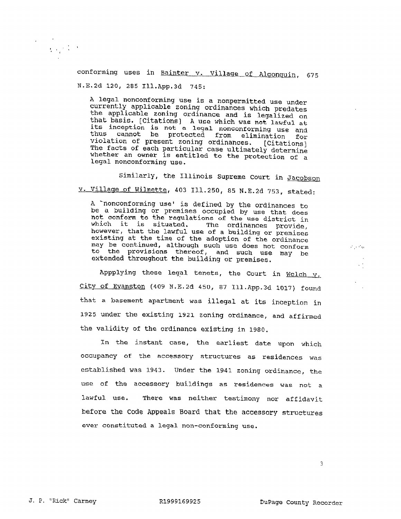$\Delta\chi^2/\Delta$ 

conforming uses in Bainter v. Village of Algonquin, 675 N.E.2d 120, 285 Ill.App.3d 745:

A legal nonconforming use is a nonpermitted use under currently applicable zoning ordinances which predates the applicable zoning ordinance and is legalized on<br>that basis. [Citations] A use which was not lawful at<br>its inception is not a legal nonconforming use and thus cannot be protected from elimination for violation of present zoning ordinances. [Citations]<br>The facts of each particular case ultimately determine whether an owner is entitled to the protection of a legal nonconforming use.

Similarly, the Illinois Supreme Court in Jacobson v. Village of Wilmette, 403 Ill.250, 85 N.E.2d 753, stated:

A 'nonconforming use' is defined by the ordinances to be a building or premises occupied by use that does not conform to the regulations of the use district in which it is situated. The ordinances provide, however, that the lawful use of a building or premises existing at the time of the adoption of the ordinance may be continued, although such use does not conform to the provisions thereof, and such use may be extended throughout the building or premises.

Appplying these legal tenets, the Court in  $Welch_v$ . City of Evanston (409 N.E.2d 450, 87 Ill.App.3d 1017) found that a basement apartment was illegal at its inception in 1925 under the existing 1921 zoning ordinance, and affirmed the validity of the ordinance existing in 1980.

In the instant case, the earliest date upon which occupancy of the accessory structures as residences was established was 1943. Under the 1941 zoning ordinance, the use of the accessory buildings as residences was not a There was neither testimony nor affidavit lawful use. before the Code Appeals Board that the accessory structures ever constituted a legal non-conforming use.

 $\mathcal{C} \rightarrow \mathcal{C}_{\mathcal{M}}$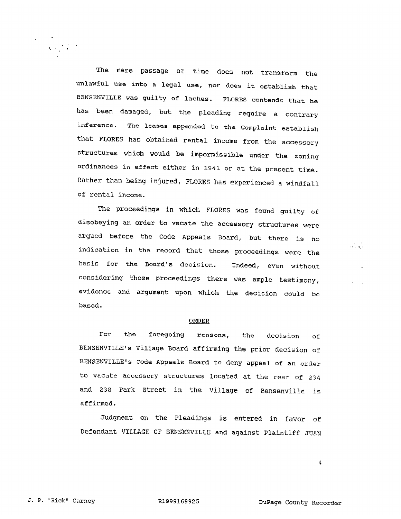The mere passage of time does not transform the unlawful use into a legal use, nor does it establish that BENSENVILLE was guilty of laches. FLORES contends that he has been damaged, but the pleading require a contrary The leases appended to the Complaint establish inference. that FLORES has obtained rental income from the accessory structures which would be impermissible under the zoning ordinances in effect either in 1941 or at the present time. Rather than being injured, FLORES has experienced a windfall of rental income.

The proceedings in which FLORES was found guilty of disobeying an order to vacate the accessory structures were argued before the Code Appeals Board, but there is no indication in the record that those proceedings were the basis for the Board's decision. Indeed, even without considering those proceedings there was ample testimony, evidence and argument upon which the decision could be based.

#### **ORDER**

For the foregoing reasons, the decision of BENSENVILLE's Village Board affirming the prior decision of BENSENVILLE's Code Appeals Board to deny appeal of an order to vacate accessory structures located at the rear of 234 and 238 Park Street in the Village of Bensenville is affirmed.

Judgment on the Pleadings is entered in favor of Defendant VILLAGE OF BENSENVILLE and against Plaintiff JUAN

 $\overline{4}$ 

séria)

 $\mathcal{A}_\text{c}$  ,  $\mathcal{A}_\text{c}$  ,  $\mathcal{A}_\text{c}$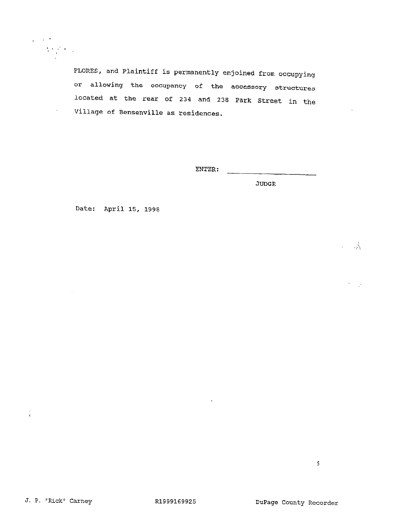

 $\bar{z}$ 

FLORES, and Plaintiff is permanently enjoined from occupying or allowing the occupancy of the accessory structures located at the rear of 234 and 238 Park Street in the Village of Bensenville as residences.

ENTER:

**JUDGE** 

Date: April 15, 1998

 $\omega = \omega_{\rm A}^2$ 

 $\frac{1}{4}$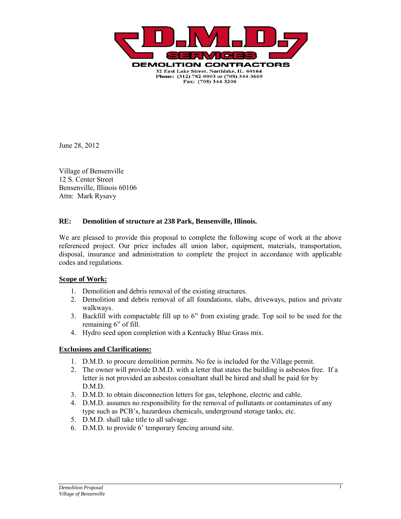

June 28, 2012

Village of Bensenville 12 S. Center Street Bensenville, Illinois 60106 Attn: Mark Rysavy

#### **RE: Demolition of structure at 238 Park, Bensenville, Illinois.**

We are pleased to provide this proposal to complete the following scope of work at the above referenced project. Our price includes all union labor, equipment, materials, transportation, disposal, insurance and administration to complete the project in accordance with applicable codes and regulations.

#### **Scope of Work:**

- 1. Demolition and debris removal of the existing structures.
- 2. Demolition and debris removal of all foundations, slabs, driveways, patios and private walkways.
- 3. Backfill with compactable fill up to 6" from existing grade. Top soil to be used for the remaining 6" of fill.
- 4. Hydro seed upon completion with a Kentucky Blue Grass mix.

#### **Exclusions and Clarifications:**

- 1. D.M.D. to procure demolition permits. No fee is included for the Village permit.
- 2. The owner will provide D.M.D. with a letter that states the building is asbestos free. If a letter is not provided an asbestos consultant shall be hired and shall be paid for by D.M.D.
- 3. D.M.D. to obtain disconnection letters for gas, telephone, electric and cable.
- 4. D.M.D. assumes no responsibility for the removal of pollutants or contaminates of any type such as PCB's, hazardous chemicals, underground storage tanks, etc.
- 5. D.M.D. shall take title to all salvage.
- 6. D.M.D. to provide 6' temporary fencing around site.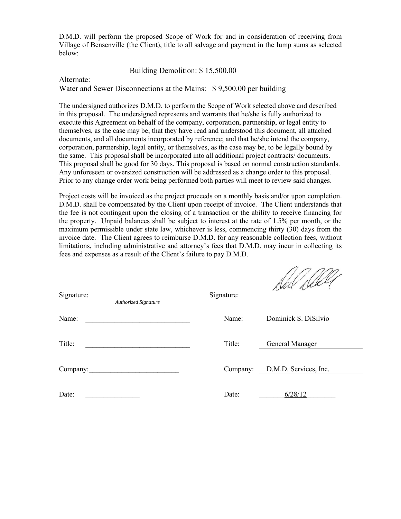D.M.D. will perform the proposed Scope of Work for and in consideration of receiving from Village of Bensenville (the Client), title to all salvage and payment in the lump sums as selected below:

Building Demolition: \$ 15,500.00

Alternate:

Water and Sewer Disconnections at the Mains: \$9,500.00 per building

The undersigned authorizes D.M.D. to perform the Scope of Work selected above and described in this proposal. The undersigned represents and warrants that he/she is fully authorized to execute this Agreement on behalf of the company, corporation, partnership, or legal entity to themselves, as the case may be; that they have read and understood this document, all attached documents, and all documents incorporated by reference; and that he/she intend the company, corporation, partnership, legal entity, or themselves, as the case may be, to be legally bound by the same. This proposal shall be incorporated into all additional project contracts/ documents. This proposal shall be good for 30 days. This proposal is based on normal construction standards. Any unforeseen or oversized construction will be addressed as a change order to this proposal. Prior to any change order work being performed both parties will meet to review said changes.

Project costs will be invoiced as the project proceeds on a monthly basis and/or upon completion. D.M.D. shall be compensated by the Client upon receipt of invoice. The Client understands that the fee is not contingent upon the closing of a transaction or the ability to receive financing for the property. Unpaid balances shall be subject to interest at the rate of 1.5% per month, or the maximum permissible under state law, whichever is less, commencing thirty (30) days from the invoice date. The Client agrees to reimburse D.M.D. for any reasonable collection fees, without limitations, including administrative and attorney's fees that D.M.D. may incur in collecting its fees and expenses as a result of the Client's failure to pay D.M.D.

| Signature:<br>Authorized Signature | Signature: | Ned Dell'e                     |
|------------------------------------|------------|--------------------------------|
| Name:                              | Name:      | Dominick S. DiSilvio           |
| Title:                             | Title:     | General Manager                |
| Company:                           |            | Company: D.M.D. Services, Inc. |
| Date:                              | Date:      | 6/28/12                        |

nonn.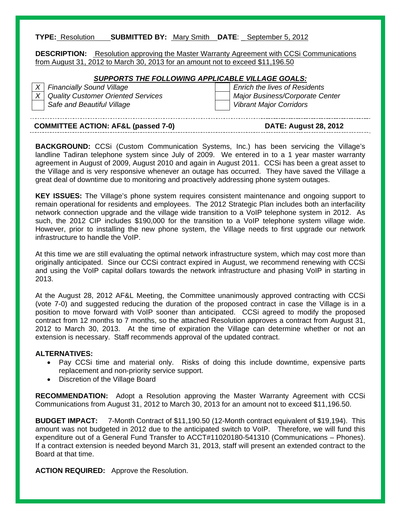#### **TYPE:** Resolution **SUBMITTED BY:** Mary Smith **DATE**: \_ September 5, 2012

**DESCRIPTION:** Resolution approving the Master Warranty Agreement with CCSi Communications from August 31, 2012 to March 30, 2013 for an amount not to exceed \$11,196.50

#### *SUPPORTS THE FOLLOWING APPLICABLE VILLAGE GOALS:*

*X* Financially Sound Village **Enrich the lives of Residents** *X Quality Customer Oriented Services Major Business/Corporate Center*  **Safe and Beautiful Village Safe and Beautiful Village Vibrant Major Corridors** 

### **COMMITTEE ACTION: AF&L (passed 7-0) DATE: August 28, 2012**

**BACKGROUND:** CCSi (Custom Communication Systems, Inc.) has been servicing the Village's landline Tadiran telephone system since July of 2009. We entered in to a 1 year master warranty agreement in August of 2009, August 2010 and again in August 2011. CCSi has been a great asset to the Village and is very responsive whenever an outage has occurred. They have saved the Village a great deal of downtime due to monitoring and proactively addressing phone system outages.

**KEY ISSUES:** The Village's phone system requires consistent maintenance and ongoing support to remain operational for residents and employees. The 2012 Strategic Plan includes both an interfacility network connection upgrade and the village wide transition to a VoIP telephone system in 2012. As such, the 2012 CIP includes \$190,000 for the transition to a VoIP telephone system village wide. However, prior to installing the new phone system, the Village needs to first upgrade our network infrastructure to handle the VoIP.

At this time we are still evaluating the optimal network infrastructure system, which may cost more than originally anticipated. Since our CCSi contract expired in August, we recommend renewing with CCSi and using the VoIP capital dollars towards the network infrastructure and phasing VoIP in starting in 2013.

At the August 28, 2012 AF&L Meeting, the Committee unanimously approved contracting with CCSi (vote 7-0) and suggested reducing the duration of the proposed contract in case the Village is in a position to move forward with VoIP sooner than anticipated. CCSi agreed to modify the proposed contract from 12 months to 7 months, so the attached Resolution approves a contract from August 31, 2012 to March 30, 2013. At the time of expiration the Village can determine whether or not an extension is necessary. Staff recommends approval of the updated contract.

#### **ALTERNATIVES:**

- Pay CCSi time and material only. Risks of doing this include downtime, expensive parts replacement and non-priority service support.
- Discretion of the Village Board

**RECOMMENDATION:** Adopt a Resolution approving the Master Warranty Agreement with CCSi Communications from August 31, 2012 to March 30, 2013 for an amount not to exceed \$11,196.50.

**BUDGET IMPACT:** 7-Month Contract of \$11,190.50 (12-Month contract equivalent of \$19,194). This amount was not budgeted in 2012 due to the anticipated switch to VoIP. Therefore, we will fund this expenditure out of a General Fund Transfer to ACCT#11020180-541310 (Communications – Phones). If a contract extension is needed beyond March 31, 2013, staff will present an extended contract to the Board at that time.

**ACTION REQUIRED:** Approve the Resolution.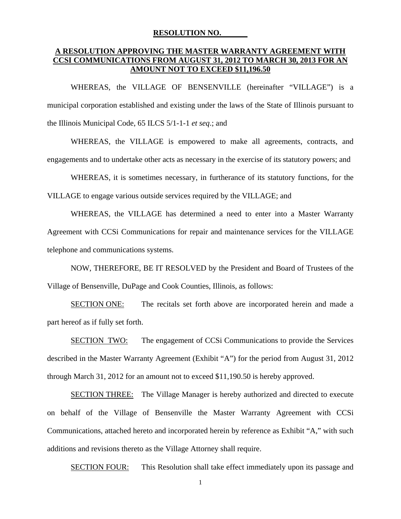#### **RESOLUTION NO.**

#### **A RESOLUTION APPROVING THE MASTER WARRANTY AGREEMENT WITH CCSI COMMUNICATIONS FROM AUGUST 31, 2012 TO MARCH 30, 2013 FOR AN AMOUNT NOT TO EXCEED \$11,196.50**

WHEREAS, the VILLAGE OF BENSENVILLE (hereinafter "VILLAGE") is a municipal corporation established and existing under the laws of the State of Illinois pursuant to the Illinois Municipal Code, 65 ILCS 5/1-1-1 *et seq*.; and

 WHEREAS, the VILLAGE is empowered to make all agreements, contracts, and engagements and to undertake other acts as necessary in the exercise of its statutory powers; and

WHEREAS, it is sometimes necessary, in furtherance of its statutory functions, for the VILLAGE to engage various outside services required by the VILLAGE; and

 WHEREAS, the VILLAGE has determined a need to enter into a Master Warranty Agreement with CCSi Communications for repair and maintenance services for the VILLAGE telephone and communications systems.

 NOW, THEREFORE, BE IT RESOLVED by the President and Board of Trustees of the Village of Bensenville, DuPage and Cook Counties, Illinois, as follows:

 SECTION ONE: The recitals set forth above are incorporated herein and made a part hereof as if fully set forth.

 SECTION TWO: The engagement of CCSi Communications to provide the Services described in the Master Warranty Agreement (Exhibit "A") for the period from August 31, 2012 through March 31, 2012 for an amount not to exceed \$11,190.50 is hereby approved.

SECTION THREE: The Village Manager is hereby authorized and directed to execute on behalf of the Village of Bensenville the Master Warranty Agreement with CCSi Communications, attached hereto and incorporated herein by reference as Exhibit "A," with such additions and revisions thereto as the Village Attorney shall require.

SECTION FOUR: This Resolution shall take effect immediately upon its passage and

1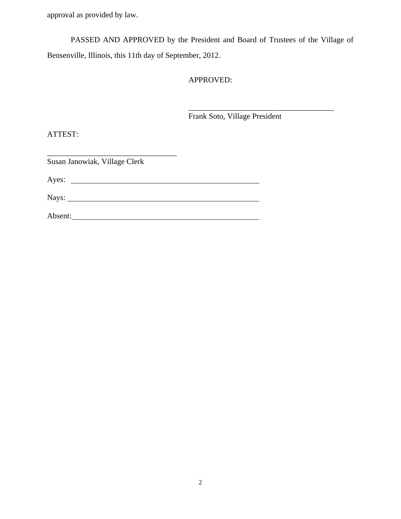approval as provided by law.

PASSED AND APPROVED by the President and Board of Trustees of the Village of Bensenville, Illinois, this 11th day of September, 2012.

 $\overline{\phantom{a}}$  , and the contract of the contract of the contract of the contract of the contract of the contract of the contract of the contract of the contract of the contract of the contract of the contract of the contrac

#### APPROVED:

Frank Soto, Village President

ATTEST:

Susan Janowiak, Village Clerk

\_\_\_\_\_\_\_\_\_\_\_\_\_\_\_\_\_\_\_\_\_\_\_\_\_\_\_\_\_\_\_\_\_

Ayes:

Nays:

Absent: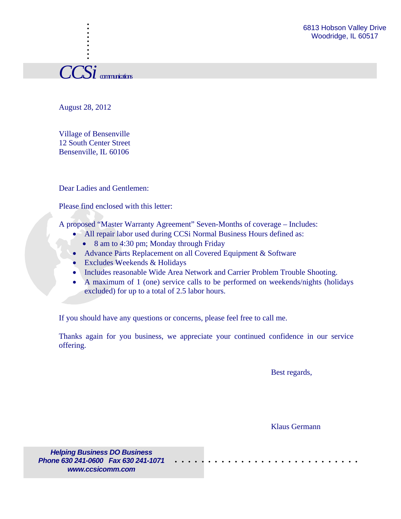*CCSi* communications

. . . . :<br>: . . :<br>: .

August 28, 2012

Village of Bensenville 12 South Center Street Bensenville, IL 60106

Dear Ladies and Gentlemen:

Please find enclosed with this letter:

A proposed "Master Warranty Agreement" Seven-Months of coverage – Includes:

- All repair labor used during CCSi Normal Business Hours defined as:
	- 8 am to 4:30 pm; Monday through Friday
- Advance Parts Replacement on all Covered Equipment & Software
- Excludes Weekends & Holidays
- Includes reasonable Wide Area Network and Carrier Problem Trouble Shooting.
- A maximum of 1 (one) service calls to be performed on weekends/nights (holidays excluded) for up to a total of 2.5 labor hours.

If you should have any questions or concerns, please feel free to call me.

Thanks again for you business, we appreciate your continued confidence in our service offering.

Best regards,

Klaus Germann

. . . . . . . . . . . . . . . . . . . . . . . . . . . .

*Helping Business DO Business Phone 630 241-0600 Fax 630 241-1071 www.ccsicomm.com*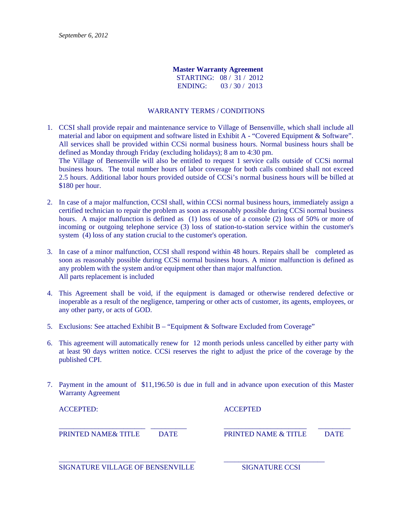#### **Master Warranty Agreement**

STARTING: 08 / 31 / 2012 ENDING: 03 / 30 / 2013

#### WARRANTY TERMS / CONDITIONS

- 1. CCSI shall provide repair and maintenance service to Village of Bensenville, which shall include all material and labor on equipment and software listed in Exhibit A - "Covered Equipment & Software". All services shall be provided within CCSi normal business hours. Normal business hours shall be defined as Monday through Friday (excluding holidays); 8 am to 4:30 pm. The Village of Bensenville will also be entitled to request 1 service calls outside of CCSi normal business hours. The total number hours of labor coverage for both calls combined shall not exceed 2.5 hours. Additional labor hours provided outside of CCSi's normal business hours will be billed at \$180 per hour.
- 2. In case of a major malfunction, CCSI shall, within CCSi normal business hours, immediately assign a certified technician to repair the problem as soon as reasonably possible during CCSi normal business hours. A major malfunction is defined as  $(1)$  loss of a console  $(2)$  loss of 50% or more of incoming or outgoing telephone service (3) loss of station-to-station service within the customer's system (4) loss of any station crucial to the customer's operation.
- 3. In case of a minor malfunction, CCSI shall respond within 48 hours. Repairs shall be completed as soon as reasonably possible during CCSi normal business hours. A minor malfunction is defined as any problem with the system and/or equipment other than major malfunction. All parts replacement is included
- 4. This Agreement shall be void, if the equipment is damaged or otherwise rendered defective or inoperable as a result of the negligence, tampering or other acts of customer, its agents, employees, or any other party, or acts of GOD.
- 5. Exclusions: See attached Exhibit B "Equipment & Software Excluded from Coverage"
- 6. This agreement will automatically renew for 12 month periods unless cancelled by either party with at least 90 days written notice. CCSi reserves the right to adjust the price of the coverage by the published CPI.
- 7. Payment in the amount of \$11,196.50 is due in full and in advance upon execution of this Master Warranty Agreement

| <b>ACCEPTED:</b>                 |             | <b>ACCEPTED</b>                 |             |
|----------------------------------|-------------|---------------------------------|-------------|
| <b>PRINTED NAME &amp; TITLE</b>  | <b>DATE</b> | <b>PRINTED NAME &amp; TITLE</b> | <b>DATE</b> |
| SIGNATURE VILLAGE OF BENSENVILLE |             | <b>SIGNATURE CCSI</b>           |             |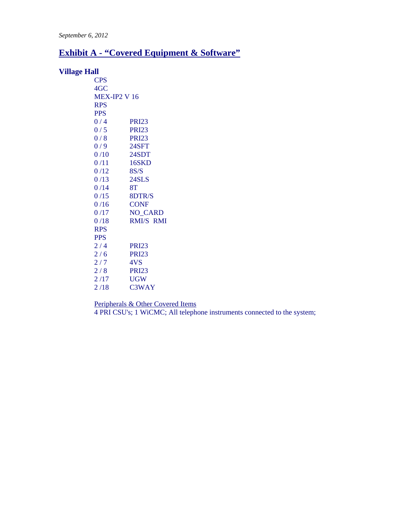### **Exhibit A - "Covered Equipment & Software"**

#### **Village Hall**

| <b>CPS</b>          |                    |
|---------------------|--------------------|
| 4GC                 |                    |
| <b>MEX-IP2 V 16</b> |                    |
| <b>RPS</b>          |                    |
| <b>PPS</b>          |                    |
| 0/4                 | <b>PRI23</b>       |
| 0/5                 | <b>PRI23</b>       |
| 0/8                 | <b>PRI23</b>       |
| 0/9                 | 24SFT              |
| 0/10                | 24SDT              |
| 0/11                | 16SKD              |
| 0/12                | 8S/S               |
| 0/13                | 24SLS              |
| 0/14                | 8T                 |
| 0/15                | 8DTR/S             |
| 0/16                | <b>CONF</b>        |
| 0/17                | <b>NO_CARD</b>     |
| 0/18                | <b>RMI/S RMI</b>   |
| <b>RPS</b>          |                    |
| <b>PPS</b>          |                    |
| 2/4                 | <b>PRI23</b>       |
| 2/6                 | <b>PRI23</b>       |
| 2/7                 | 4VS                |
| 2/8                 | <b>PRI23</b>       |
| 2/17                | <b>UGW</b>         |
| 2/18                | C <sub>3</sub> WAY |

Peripherals & Other Covered Items 4 PRI CSU's; 1 WiCMC; All telephone instruments connected to the system;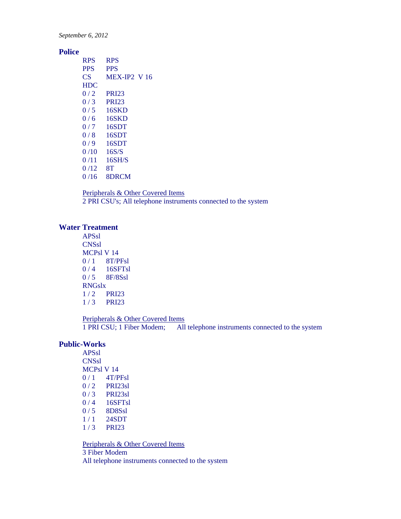#### *September 6, 2012*

#### **Police**

| <b>RPS</b>  | <b>RPS</b>          |
|-------------|---------------------|
| <b>PPS</b>  | <b>PPS</b>          |
| CS.         | <b>MEX-IP2 V 16</b> |
| <b>HDC</b>  |                     |
| 0/2         | <b>PRI23</b>        |
| 0/3         | <b>PRI23</b>        |
| 0/5         | 16SKD               |
| 0/6         | 16SKD               |
| 0/7         | 16SDT               |
| 0/8         | 16SDT               |
| 0/9         | 16SDT               |
| $0/10^{-1}$ | 16S/S               |
| 0/11        | 16SH/S              |
| 0/12        | 8T                  |
| 0 / 16      | 8DRCM               |

Peripherals & Other Covered Items 2 PRI CSU's; All telephone instruments connected to the system

#### **Water Treatment**

APSsl **CNSsl** MCPsl V 14 0 / 1 8T/PFsl 0 / 4 16SFTsl 0 / 5 8F/8Ssl RNGslx 1 / 2 PRI23 1 / 3 PRI23

#### Peripherals & Other Covered Items 1 PRI CSU; 1 Fiber Modem; All telephone instruments connected to the system

#### **Public-Works**

APSsl **CNSsl** MCPsl V 14  $0/1$  4T/PFsl 0 / 2 PRI23sl 0 / 3 PRI23sl 0 / 4 16SFTsl 0/5 8D8Ssl 1 / 1 24SDT 1 / 3 PRI23

Peripherals & Other Covered Items 3 Fiber Modem All telephone instruments connected to the system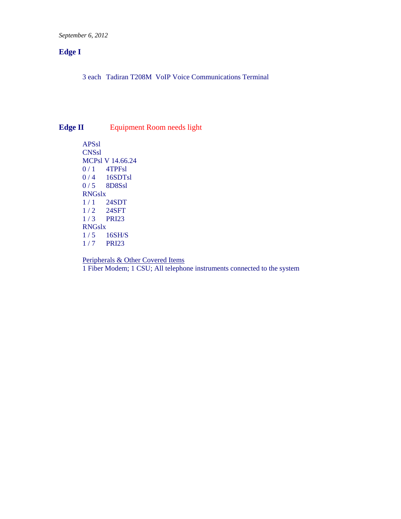*September 6, 2012* 

#### **Edge I**

3 each Tadiran T208M VoIP Voice Communications Terminal

### **Edge II Equipment Room needs light**

APSsl CNSsl MCPsl V 14.66.24 0 / 1 4TPFsl 0 / 4 16SDTsl 0/5 8D8Ssl  $\frac{RNGslx}{1/1}$  $1/1$  24SDT<br> $1/2$  24SFT 24SFT 1 / 3 PRI23 RNGslx  $1/5$  16SH/S<br> $1/7$  PRI23 **PRI23** 

Peripherals & Other Covered Items 1 Fiber Modem; 1 CSU; All telephone instruments connected to the system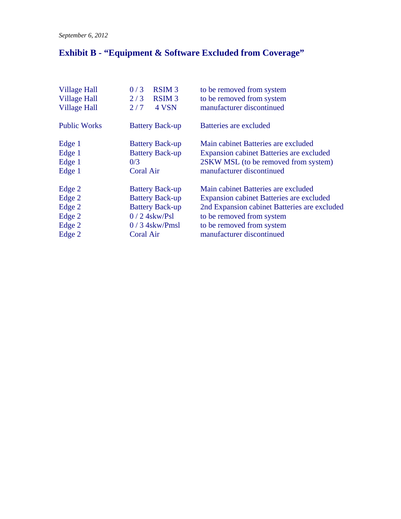# **Exhibit B - "Equipment & Software Excluded from Coverage"**

| to be removed from system                       |
|-------------------------------------------------|
| to be removed from system                       |
| manufacturer discontinued                       |
| Batteries are excluded                          |
| Main cabinet Batteries are excluded             |
| <b>Expansion cabinet Batteries are excluded</b> |
| 2SKW MSL (to be removed from system)            |
| manufacturer discontinued                       |
| Main cabinet Batteries are excluded             |
| <b>Expansion cabinet Batteries are excluded</b> |
| 2nd Expansion cabinet Batteries are excluded    |
| to be removed from system                       |
| to be removed from system                       |
| manufacturer discontinued                       |
|                                                 |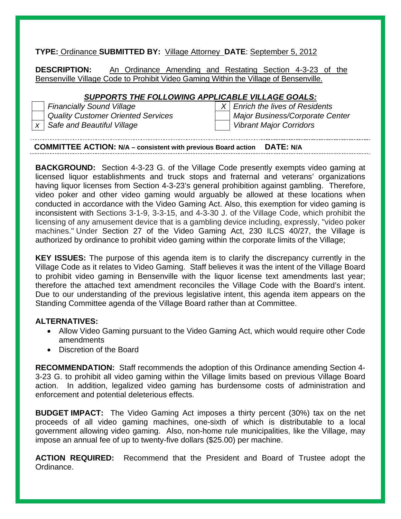#### **TYPE:** Ordinance **SUBMITTED BY:** Village Attorney **DATE**: September 5, 2012

**DESCRIPTION:** An Ordinance Amending and Restating Section 4-3-23 of the Bensenville Village Code to Prohibit Video Gaming Within the Village of Bensenville.

#### *SUPPORTS THE FOLLOWING APPLICABLE VILLAGE GOALS:*

*Financially Sound Village* X  $\vert X \vert$  *Enrich the lives of Residents Quality Customer Oriented Services* Major Business/Corporate Center *x* Safe and Beautiful Village View Vibrant Major Corridors

#### **COMMITTEE ACTION: N/A – consistent with previous Board action DATE: N/A**

**BACKGROUND:** Section 4-3-23 G. of the Village Code presently exempts video gaming at licensed liquor establishments and truck stops and fraternal and veterans' organizations having liquor licenses from Section 4-3-23's general prohibition against gambling. Therefore, video poker and other video gaming would arguably be allowed at these locations when conducted in accordance with the Video Gaming Act. Also, this exemption for video gaming is inconsistent with Sections 3-1-9, 3-3-15, and 4-3-30 J. of the Village Code, which prohibit the licensing of any amusement device that is a gambling device including, expressly, "video poker machines." Under Section 27 of the Video Gaming Act, 230 ILCS 40/27, the Village is authorized by ordinance to prohibit video gaming within the corporate limits of the Village;

**KEY ISSUES:** The purpose of this agenda item is to clarify the discrepancy currently in the Village Code as it relates to Video Gaming. Staff believes it was the intent of the Village Board to prohibit video gaming in Bensenville with the liquor license text amendments last year; therefore the attached text amendment reconciles the Village Code with the Board's intent. Due to our understanding of the previous legislative intent, this agenda item appears on the Standing Committee agenda of the Village Board rather than at Committee.

#### **ALTERNATIVES:**

- Allow Video Gaming pursuant to the Video Gaming Act, which would require other Code amendments
- Discretion of the Board

**RECOMMENDATION:** Staff recommends the adoption of this Ordinance amending Section 4- 3-23 G. to prohibit all video gaming within the Village limits based on previous Village Board action. In addition, legalized video gaming has burdensome costs of administration and enforcement and potential deleterious effects.

**BUDGET IMPACT:** The Video Gaming Act imposes a thirty percent (30%) tax on the net proceeds of all video gaming machines, one-sixth of which is distributable to a local government allowing video gaming. Also, non-home rule municipalities, like the Village, may impose an annual fee of up to twenty-five dollars (\$25.00) per machine.

**ACTION REQUIRED:** Recommend that the President and Board of Trustee adopt the Ordinance.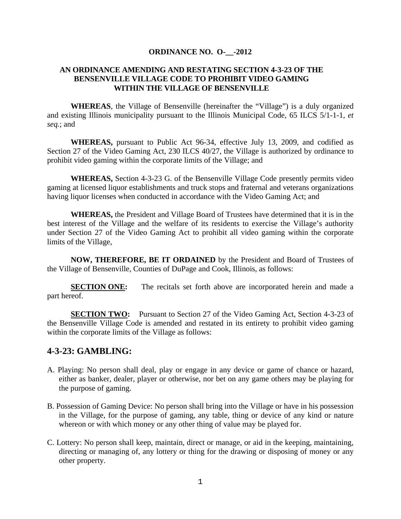#### **ORDINANCE NO. O-\_\_-2012**

#### **AN ORDINANCE AMENDING AND RESTATING SECTION 4-3-23 OF THE BENSENVILLE VILLAGE CODE TO PROHIBIT VIDEO GAMING WITHIN THE VILLAGE OF BENSENVILLE**

**WHEREAS**, the Village of Bensenville (hereinafter the "Village") is a duly organized and existing Illinois municipality pursuant to the Illinois Municipal Code, 65 ILCS 5/1-1-1, *et seq.*; and

**WHEREAS,** pursuant to Public Act 96-34, effective July 13, 2009, and codified as Section 27 of the Video Gaming Act, 230 ILCS 40/27, the Village is authorized by ordinance to prohibit video gaming within the corporate limits of the Village; and

**WHEREAS,** Section 4-3-23 G. of the Bensenville Village Code presently permits video gaming at licensed liquor establishments and truck stops and fraternal and veterans organizations having liquor licenses when conducted in accordance with the Video Gaming Act; and

**WHEREAS,** the President and Village Board of Trustees have determined that it is in the best interest of the Village and the welfare of its residents to exercise the Village's authority under Section 27 of the Video Gaming Act to prohibit all video gaming within the corporate limits of the Village,

**NOW, THEREFORE, BE IT ORDAINED** by the President and Board of Trustees of the Village of Bensenville, Counties of DuPage and Cook, Illinois, as follows:

**SECTION ONE:** The recitals set forth above are incorporated herein and made a part hereof.

**SECTION TWO:** Pursuant to Section 27 of the Video Gaming Act, Section 4-3-23 of the Bensenville Village Code is amended and restated in its entirety to prohibit video gaming within the corporate limits of the Village as follows:

#### **4-3-23: GAMBLING:**

- A. Playing: No person shall deal, play or engage in any device or game of chance or hazard, either as banker, dealer, player or otherwise, nor bet on any game others may be playing for the purpose of gaming.
- B. Possession of Gaming Device: No person shall bring into the Village or have in his possession in the Village, for the purpose of gaming, any table, thing or device of any kind or nature whereon or with which money or any other thing of value may be played for.
- C. Lottery: No person shall keep, maintain, direct or manage, or aid in the keeping, maintaining, directing or managing of, any lottery or thing for the drawing or disposing of money or any other property.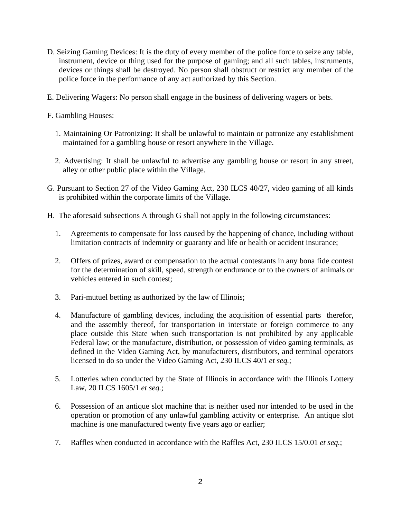- D. Seizing Gaming Devices: It is the duty of every member of the police force to seize any table, instrument, device or thing used for the purpose of gaming; and all such tables, instruments, devices or things shall be destroyed. No person shall obstruct or restrict any member of the police force in the performance of any act authorized by this Section.
- E. Delivering Wagers: No person shall engage in the business of delivering wagers or bets.
- F. Gambling Houses:
	- 1. Maintaining Or Patronizing: It shall be unlawful to maintain or patronize any establishment maintained for a gambling house or resort anywhere in the Village.
	- 2. Advertising: It shall be unlawful to advertise any gambling house or resort in any street, alley or other public place within the Village.
- G. Pursuant to Section 27 of the Video Gaming Act, 230 ILCS 40/27, video gaming of all kinds is prohibited within the corporate limits of the Village.
- H. The aforesaid subsections A through G shall not apply in the following circumstances:
	- 1. Agreements to compensate for loss caused by the happening of chance, including without limitation contracts of indemnity or guaranty and life or health or accident insurance;
	- 2. Offers of prizes, award or compensation to the actual contestants in any bona fide contest for the determination of skill, speed, strength or endurance or to the owners of animals or vehicles entered in such contest;
	- 3. Pari-mutuel betting as authorized by the law of Illinois;
	- 4. Manufacture of gambling devices, including the acquisition of essential parts therefor, and the assembly thereof, for transportation in interstate or foreign commerce to any place outside this State when such transportation is not prohibited by any applicable Federal law; or the manufacture, distribution, or possession of video gaming terminals, as defined in the Video Gaming Act, by manufacturers, distributors, and terminal operators licensed to do so under the Video Gaming Act, 230 ILCS 40/1 *et seq.*;
	- 5. Lotteries when conducted by the State of Illinois in accordance with the Illinois Lottery Law, 20 ILCS 1605/1 *et seq.*;
	- 6. Possession of an antique slot machine that is neither used nor intended to be used in the operation or promotion of any unlawful gambling activity or enterprise. An antique slot machine is one manufactured twenty five years ago or earlier;
	- 7. Raffles when conducted in accordance with the Raffles Act, 230 ILCS 15/0.01 *et seq.*;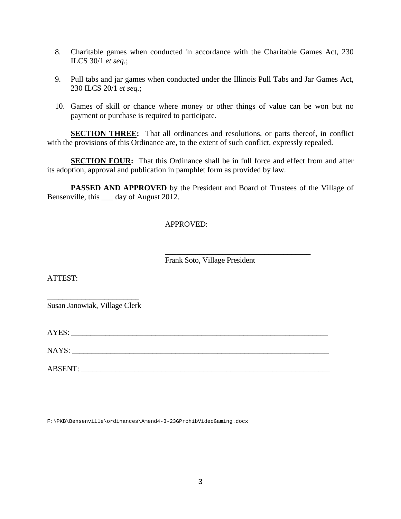- 8. Charitable games when conducted in accordance with the Charitable Games Act, 230 ILCS 30/1 *et seq.*;
- 9. Pull tabs and jar games when conducted under the Illinois Pull Tabs and Jar Games Act, 230 ILCS 20/1 *et seq.*;
- 10. Games of skill or chance where money or other things of value can be won but no payment or purchase is required to participate.

**SECTION THREE:** That all ordinances and resolutions, or parts thereof, in conflict with the provisions of this Ordinance are, to the extent of such conflict, expressly repealed.

**SECTION FOUR:** That this Ordinance shall be in full force and effect from and after its adoption, approval and publication in pamphlet form as provided by law.

**PASSED AND APPROVED** by the President and Board of Trustees of the Village of Bensenville, this \_\_\_ day of August 2012.

#### APPROVED:

Frank Soto, Village President

\_\_\_\_\_\_\_\_\_\_\_\_\_\_\_\_\_\_\_\_\_\_\_\_\_\_\_\_\_\_\_\_\_\_\_\_\_\_

ATTEST:

\_\_\_\_\_\_\_\_\_\_\_\_\_\_\_\_\_\_\_\_\_\_\_\_ Susan Janowiak, Village Clerk

AYES:

NAYS:

ABSENT:

F:\PKB\Bensenville\ordinances\Amend4-3-23GProhibVideoGaming.docx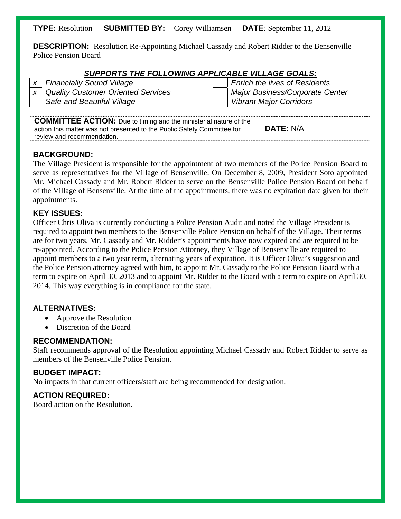#### **TYPE:** Resolution **SUBMITTED BY:** Corey Williamsen **DATE**: September 11, 2012

**DESCRIPTION:** Resolution Re-Appointing Michael Cassady and Robert Ridder to the Bensenville Police Pension Board

#### *SUPPORTS THE FOLLOWING APPLICABLE VILLAGE GOALS:*

|                                                                          | x   Financially Sound Village             |  | <b>Enrich the lives of Residents</b> |  |  |  |  |
|--------------------------------------------------------------------------|-------------------------------------------|--|--------------------------------------|--|--|--|--|
|                                                                          | <b>Quality Customer Oriented Services</b> |  | Major Business/Corporate Center      |  |  |  |  |
|                                                                          | Safe and Beautiful Village                |  | <b>Vibrant Major Corridors</b>       |  |  |  |  |
|                                                                          |                                           |  |                                      |  |  |  |  |
| <b>COMMITTEE ACTION:</b> Due to timing and the ministerial nature of the |                                           |  |                                      |  |  |  |  |

action this matter was not presented to the Public Safety Committee for review and recommendation. **DATE:** N/A

#### **BACKGROUND:**

The Village President is responsible for the appointment of two members of the Police Pension Board to serve as representatives for the Village of Bensenville. On December 8, 2009, President Soto appointed Mr. Michael Cassady and Mr. Robert Ridder to serve on the Bensenville Police Pension Board on behalf of the Village of Bensenville. At the time of the appointments, there was no expiration date given for their appointments.

#### **KEY ISSUES:**

Officer Chris Oliva is currently conducting a Police Pension Audit and noted the Village President is required to appoint two members to the Bensenville Police Pension on behalf of the Village. Their terms are for two years. Mr. Cassady and Mr. Ridder's appointments have now expired and are required to be re-appointed. According to the Police Pension Attorney, they Village of Bensenville are required to appoint members to a two year term, alternating years of expiration. It is Officer Oliva's suggestion and the Police Pension attorney agreed with him, to appoint Mr. Cassady to the Police Pension Board with a term to expire on April 30, 2013 and to appoint Mr. Ridder to the Board with a term to expire on April 30, 2014. This way everything is in compliance for the state.

#### **ALTERNATIVES:**

- Approve the Resolution
- Discretion of the Board

#### **RECOMMENDATION:**

Staff recommends approval of the Resolution appointing Michael Cassady and Robert Ridder to serve as members of the Bensenville Police Pension.

#### **BUDGET IMPACT:**

No impacts in that current officers/staff are being recommended for designation.

#### **ACTION REQUIRED:**

Board action on the Resolution.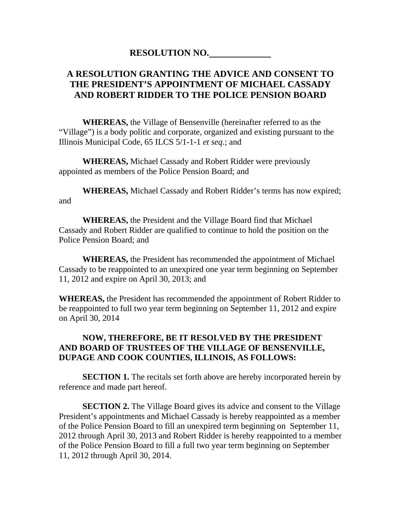#### **RESOLUTION NO.**

### **A RESOLUTION GRANTING THE ADVICE AND CONSENT TO THE PRESIDENT'S APPOINTMENT OF MICHAEL CASSADY AND ROBERT RIDDER TO THE POLICE PENSION BOARD**

 **WHEREAS,** the Village of Bensenville (hereinafter referred to as the "Village") is a body politic and corporate, organized and existing pursuant to the Illinois Municipal Code, 65 ILCS 5/1-1-1 *et seq*.; and

**WHEREAS,** Michael Cassady and Robert Ridder were previously appointed as members of the Police Pension Board; and

**WHEREAS,** Michael Cassady and Robert Ridder's terms has now expired; and

**WHEREAS,** the President and the Village Board find that Michael Cassady and Robert Ridder are qualified to continue to hold the position on the Police Pension Board; and

**WHEREAS,** the President has recommended the appointment of Michael Cassady to be reappointed to an unexpired one year term beginning on September 11, 2012 and expire on April 30, 2013; and

**WHEREAS,** the President has recommended the appointment of Robert Ridder to be reappointed to full two year term beginning on September 11, 2012 and expire on April 30, 2014

#### **NOW, THEREFORE, BE IT RESOLVED BY THE PRESIDENT AND BOARD OF TRUSTEES OF THE VILLAGE OF BENSENVILLE, DUPAGE AND COOK COUNTIES, ILLINOIS, AS FOLLOWS:**

**SECTION 1.** The recitals set forth above are hereby incorporated herein by reference and made part hereof.

**SECTION 2.** The Village Board gives its advice and consent to the Village President's appointments and Michael Cassady is hereby reappointed as a member of the Police Pension Board to fill an unexpired term beginning on September 11, 2012 through April 30, 2013 and Robert Ridder is hereby reappointed to a member of the Police Pension Board to fill a full two year term beginning on September 11, 2012 through April 30, 2014.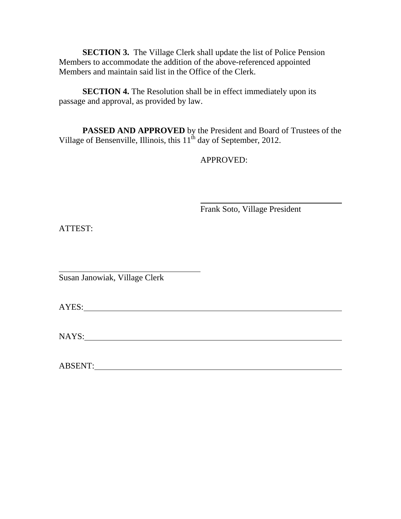**SECTION 3.** The Village Clerk shall update the list of Police Pension Members to accommodate the addition of the above-referenced appointed Members and maintain said list in the Office of the Clerk.

**SECTION 4.** The Resolution shall be in effect immediately upon its passage and approval, as provided by law.

**PASSED AND APPROVED** by the President and Board of Trustees of the Village of Bensenville, Illinois, this  $11^{th}$  day of September, 2012.

APPROVED:

Frank Soto, Village President

ATTEST:

 $\overline{\phantom{a}}$ Susan Janowiak, Village Clerk

AYES:

NAYS: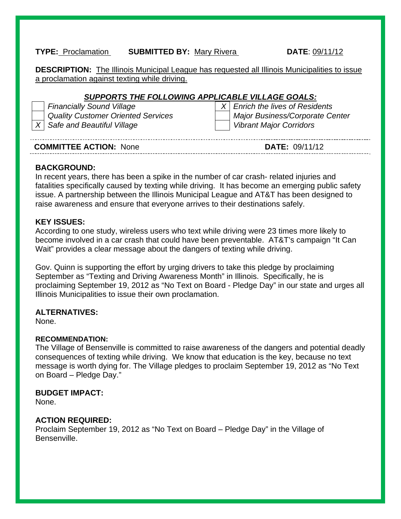#### **TYPE:** Proclamation **SUBMITTED BY:** Mary Rivera **DATE**: 09/11/12

**DESCRIPTION:** The Illinois Municipal League has requested all Illinois Municipalities to issue a proclamation against texting while driving.

#### *SUPPORTS THE FOLLOWING APPLICABLE VILLAGE GOALS:*

| <b>Financially Sound Village</b>          | $X$ Enrich the lives of Residents |
|-------------------------------------------|-----------------------------------|
| <b>Quality Customer Oriented Services</b> | Major Business/Corporate Center   |
| $X$ Safe and Beautiful Village            | <b>Vibrant Major Corridors</b>    |

| <b>COMMITTEE ACTION: None</b> | <b>DATE: 09/11/12</b> |
|-------------------------------|-----------------------|
|-------------------------------|-----------------------|

#### **BACKGROUND:**

In recent years, there has been a spike in the number of car crash- related injuries and fatalities specifically caused by texting while driving. It has become an emerging public safety issue. A partnership between the Illinois Municipal League and AT&T has been designed to raise awareness and ensure that everyone arrives to their destinations safely.

#### **KEY ISSUES:**

According to one study, wireless users who text while driving were 23 times more likely to become involved in a car crash that could have been preventable. AT&T's campaign "It Can Wait" provides a clear message about the dangers of texting while driving.

Gov. Quinn is supporting the effort by urging drivers to take this pledge by proclaiming September as "Texting and Driving Awareness Month" in Illinois. Specifically, he is proclaiming September 19, 2012 as "No Text on Board - Pledge Day" in our state and urges all Illinois Municipalities to issue their own proclamation.

#### **ALTERNATIVES:**

None.

#### **RECOMMENDATION:**

The Village of Bensenville is committed to raise awareness of the dangers and potential deadly consequences of texting while driving. We know that education is the key, because no text message is worth dying for. The Village pledges to proclaim September 19, 2012 as "No Text on Board – Pledge Day."

#### **BUDGET IMPACT:**

None.

#### **ACTION REQUIRED:**

Proclaim September 19, 2012 as "No Text on Board – Pledge Day" in the Village of Bensenville.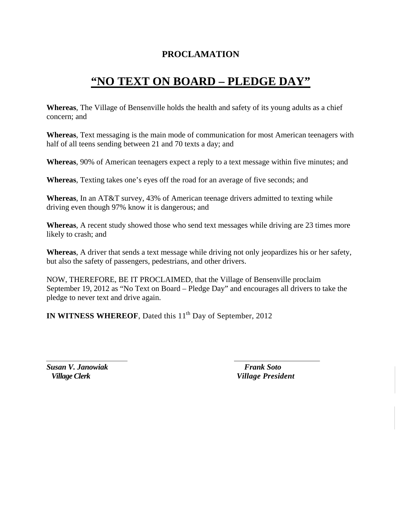### **PROCLAMATION**

## **"NO TEXT ON BOARD – PLEDGE DAY"**

**Whereas**, The Village of Bensenville holds the health and safety of its young adults as a chief concern; and

**Whereas**, Text messaging is the main mode of communication for most American teenagers with half of all teens sending between 21 and 70 texts a day; and

**Whereas**, 90% of American teenagers expect a reply to a text message within five minutes; and

**Whereas**, Texting takes one's eyes off the road for an average of five seconds; and

**Whereas**, In an AT&T survey, 43% of American teenage drivers admitted to texting while driving even though 97% know it is dangerous; and

**Whereas**, A recent study showed those who send text messages while driving are 23 times more likely to crash; and

**Whereas**, A driver that sends a text message while driving not only jeopardizes his or her safety, but also the safety of passengers, pedestrians, and other drivers.

NOW, THEREFORE, BE IT PROCLAIMED, that the Village of Bensenville proclaim September 19, 2012 as "No Text on Board – Pledge Day" and encourages all drivers to take the pledge to never text and drive again.

**IN WITNESS WHEREOF, Dated this 11<sup>th</sup> Day of September, 2012** 

*Susan V. Janowiak Frank Soto*

 *Village Clerk Village President*